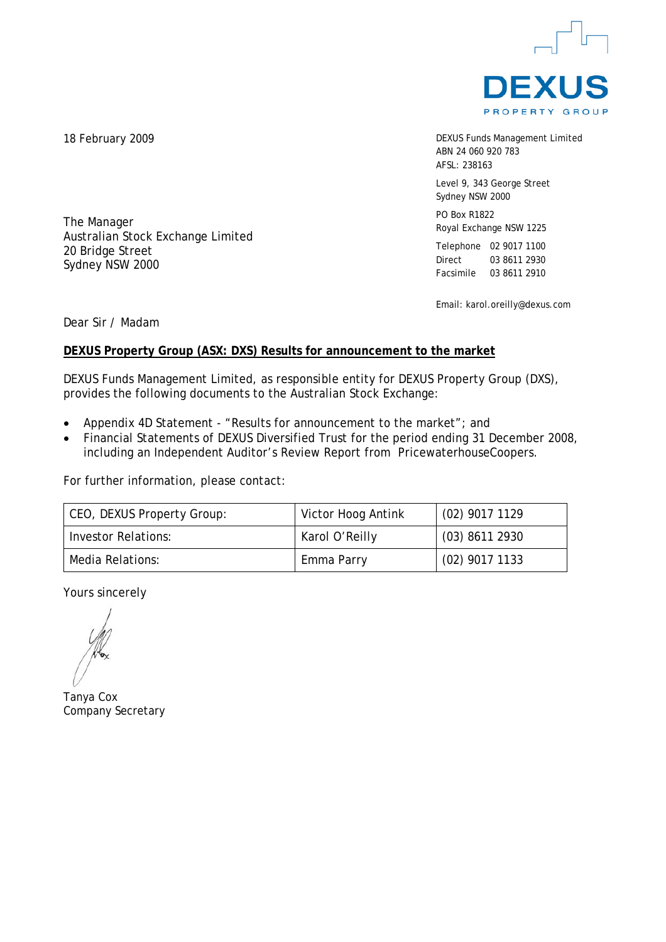

DEXUS Funds Management Limited ABN 24 060 920 783 AFSL: 238163

Level 9, 343 George Street Sydney NSW 2000

PO Box R1822 Royal Exchange NSW 1225

Telephone 02 9017 1100 Direct 03 8611 2930 Facsimile 03 8611 2910

Email: karol.oreilly@dexus.com

Dear Sir / Madam

# **DEXUS Property Group (ASX: DXS) Results for announcement to the market**

DEXUS Funds Management Limited, as responsible entity for DEXUS Property Group (DXS), provides the following documents to the Australian Stock Exchange:

- Appendix 4D Statement "Results for announcement to the market"; and
- Financial Statements of DEXUS Diversified Trust for the period ending 31 December 2008, including an Independent Auditor's Review Report from PricewaterhouseCoopers.

For further information, please contact:

| CEO, DEXUS Property Group: | Victor Hoog Antink | $(02)$ 9017 1129 |
|----------------------------|--------------------|------------------|
| Investor Relations:        | Karol O'Reilly     | $(03)$ 8611 2930 |
| Media Relations:           | Emma Parry         | $(02)$ 9017 1133 |

Yours sincerely

Tanya Cox Company Secretary

18 February 2009

The Manager

20 Bridge Street Sydney NSW 2000

Australian Stock Exchange Limited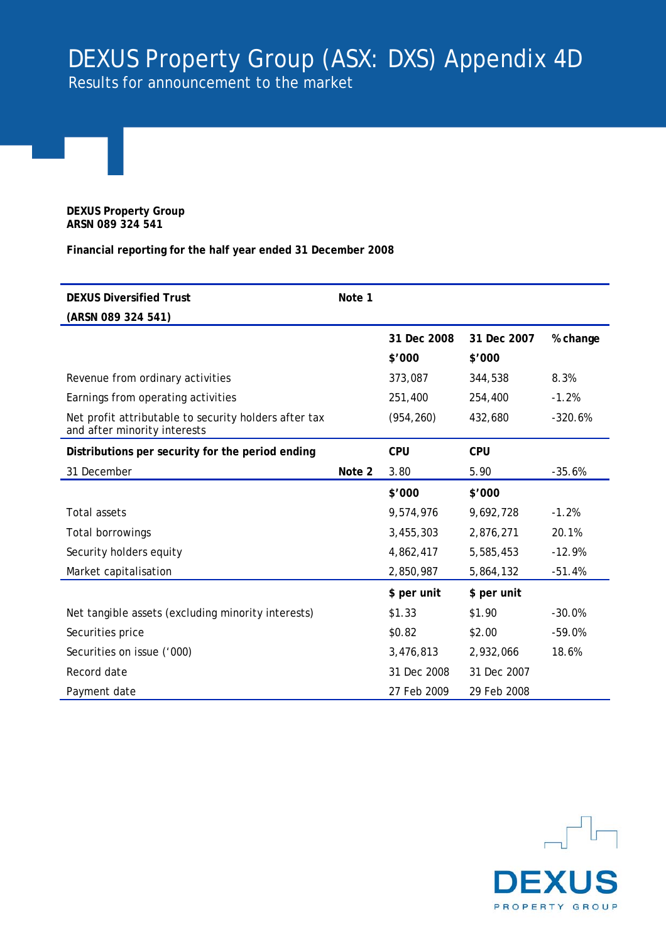# DEXUS Property Group (ASX: DXS) Appendix 4D

Results for announcement to the market

**DEXUS Property Group ARSN 089 324 541**

**Financial reporting for the half year ended 31 December 2008** 

| <b>DEXUS Diversified Trust</b>                                                        | Note 1 |             |             |           |
|---------------------------------------------------------------------------------------|--------|-------------|-------------|-----------|
| (ARSN 089 324 541)                                                                    |        |             |             |           |
|                                                                                       |        | 31 Dec 2008 | 31 Dec 2007 | % change  |
|                                                                                       |        | \$'000      | \$'000      |           |
| Revenue from ordinary activities                                                      |        | 373,087     | 344,538     | 8.3%      |
| Earnings from operating activities                                                    |        | 251,400     | 254,400     | $-1.2%$   |
| Net profit attributable to security holders after tax<br>and after minority interests |        | (954, 260)  | 432,680     | $-320.6%$ |
| Distributions per security for the period ending                                      |        | <b>CPU</b>  | <b>CPU</b>  |           |
| 31 December                                                                           | Note 2 | 3.80        | 5.90        | $-35.6%$  |
|                                                                                       |        | \$'000      | \$'000      |           |
| <b>Total assets</b>                                                                   |        | 9,574,976   | 9,692,728   | $-1.2%$   |
| Total borrowings                                                                      |        | 3,455,303   | 2,876,271   | 20.1%     |
| Security holders equity                                                               |        | 4,862,417   | 5,585,453   | $-12.9%$  |
| Market capitalisation                                                                 |        | 2,850,987   | 5,864,132   | $-51.4%$  |
|                                                                                       |        | \$ per unit | \$ per unit |           |
| Net tangible assets (excluding minority interests)                                    |        | \$1.33      | \$1.90      | $-30.0%$  |
| Securities price                                                                      |        | \$0.82      | \$2.00      | $-59.0%$  |
| Securities on issue ('000)                                                            |        | 3,476,813   | 2,932,066   | 18.6%     |
| Record date                                                                           |        | 31 Dec 2008 | 31 Dec 2007 |           |
| Payment date                                                                          |        | 27 Feb 2009 | 29 Feb 2008 |           |

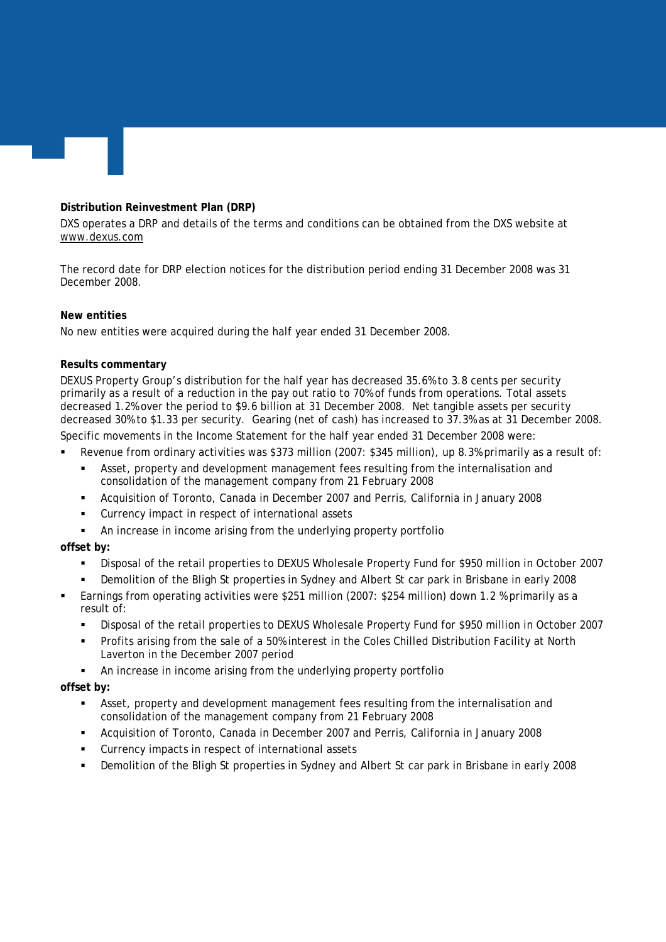# **Distribution Reinvestment Plan (DRP)**

DXS operates a DRP and details of the terms and conditions can be obtained from the DXS website at [www.dexus.com](http://www.dbrreef.com/)

The record date for DRP election notices for the distribution period ending 31 December 2008 was 31 December 2008.

# **New entities**

No new entities were acquired during the half year ended 31 December 2008.

# **Results commentary**

DEXUS Property Group's distribution for the half year has decreased 35.6% to 3.8 cents per security primarily as a result of a reduction in the pay out ratio to 70% of funds from operations. Total assets decreased 1.2% over the period to \$9.6 billion at 31 December 2008. Net tangible assets per security decreased 30% to \$1.33 per security. Gearing (net of cash) has increased to 37.3% as at 31 December 2008. Specific movements in the Income Statement for the half year ended 31 December 2008 were:

Revenue from ordinary activities was \$373 million (2007: \$345 million), up 8.3% primarily as a result of:

- Asset, property and development management fees resulting from the internalisation and consolidation of the management company from 21 February 2008
- Acquisition of Toronto, Canada in December 2007 and Perris, California in January 2008
- Currency impact in respect of international assets
- An increase in income arising from the underlying property portfolio

# **offset by:**

- Disposal of the retail properties to DEXUS Wholesale Property Fund for \$950 million in October 2007
- Demolition of the Bligh St properties in Sydney and Albert St car park in Brisbane in early 2008
- Earnings from operating activities were \$251 million (2007: \$254 million) down 1.2 % primarily as a result of:
	- Disposal of the retail properties to DEXUS Wholesale Property Fund for \$950 million in October 2007
	- Profits arising from the sale of a 50% interest in the Coles Chilled Distribution Facility at North Laverton in the December 2007 period
	- An increase in income arising from the underlying property portfolio

# **offset by:**

- Asset, property and development management fees resulting from the internalisation and consolidation of the management company from 21 February 2008
- Acquisition of Toronto, Canada in December 2007 and Perris, California in January 2008
- Currency impacts in respect of international assets
- Demolition of the Bligh St properties in Sydney and Albert St car park in Brisbane in early 2008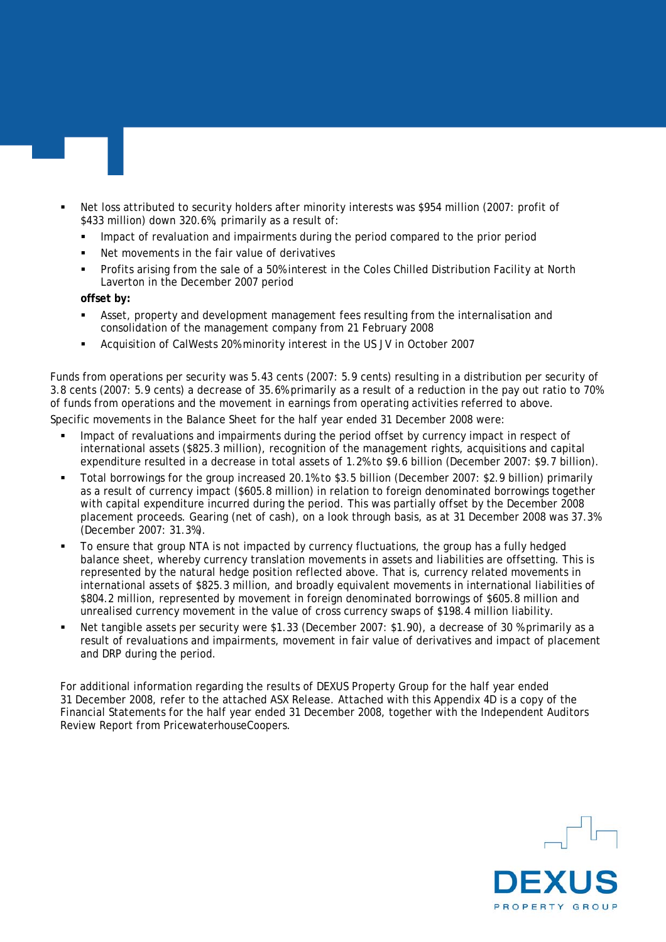- Net loss attributed to security holders after minority interests was \$954 million (2007: profit of \$433 million) down 320.6%, primarily as a result of:
	- Impact of revaluation and impairments during the period compared to the prior period
	- Net movements in the fair value of derivatives
	- Profits arising from the sale of a 50% interest in the Coles Chilled Distribution Facility at North Laverton in the December 2007 period

**offset by:** 

- Asset, property and development management fees resulting from the internalisation and consolidation of the management company from 21 February 2008
- Acquisition of CalWests 20% minority interest in the US JV in October 2007

Funds from operations per security was 5.43 cents (2007: 5.9 cents) resulting in a distribution per security of 3.8 cents (2007: 5.9 cents) a decrease of 35.6% primarily as a result of a reduction in the pay out ratio to 70% of funds from operations and the movement in earnings from operating activities referred to above.

Specific movements in the Balance Sheet for the half year ended 31 December 2008 were:

- Impact of revaluations and impairments during the period offset by currency impact in respect of international assets (\$825.3 million), recognition of the management rights, acquisitions and capital expenditure resulted in a decrease in total assets of 1.2% to \$9.6 billion (December 2007: \$9.7 billion).
- Total borrowings for the group increased 20.1% to \$3.5 billion (December 2007: \$2.9 billion) primarily as a result of currency impact (\$605.8 million) in relation to foreign denominated borrowings together with capital expenditure incurred during the period. This was partially offset by the December 2008 placement proceeds. Gearing (net of cash), on a look through basis, as at 31 December 2008 was 37.3% (December 2007: 31.3%).
- To ensure that group NTA is not impacted by currency fluctuations, the group has a fully hedged balance sheet, whereby currency translation movements in assets and liabilities are offsetting. This is represented by the natural hedge position reflected above. That is, currency related movements in international assets of \$825.3 million, and broadly equivalent movements in international liabilities of \$804.2 million, represented by movement in foreign denominated borrowings of \$605.8 million and unrealised currency movement in the value of cross currency swaps of \$198.4 million liability.
- Net tangible assets per security were \$1.33 (December 2007: \$1.90), a decrease of 30 % primarily as a result of revaluations and impairments, movement in fair value of derivatives and impact of placement and DRP during the period.

For additional information regarding the results of DEXUS Property Group for the half year ended 31 December 2008, refer to the attached ASX Release. Attached with this Appendix 4D is a copy of the Financial Statements for the half year ended 31 December 2008, together with the Independent Auditors Review Report from PricewaterhouseCoopers.

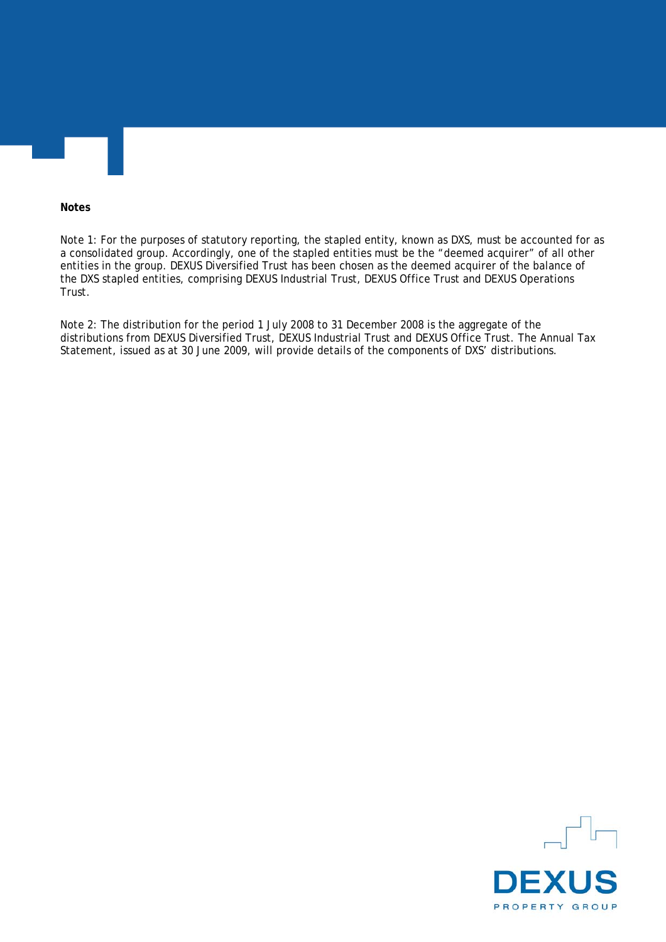#### **Notes**

Note 1: For the purposes of statutory reporting, the stapled entity, known as DXS, must be accounted for as a consolidated group. Accordingly, one of the stapled entities must be the "deemed acquirer" of all other entities in the group. DEXUS Diversified Trust has been chosen as the deemed acquirer of the balance of the DXS stapled entities, comprising DEXUS Industrial Trust, DEXUS Office Trust and DEXUS Operations Trust.

Note 2: The distribution for the period 1 July 2008 to 31 December 2008 is the aggregate of the distributions from DEXUS Diversified Trust, DEXUS Industrial Trust and DEXUS Office Trust. The Annual Tax Statement, issued as at 30 June 2009, will provide details of the components of DXS' distributions.

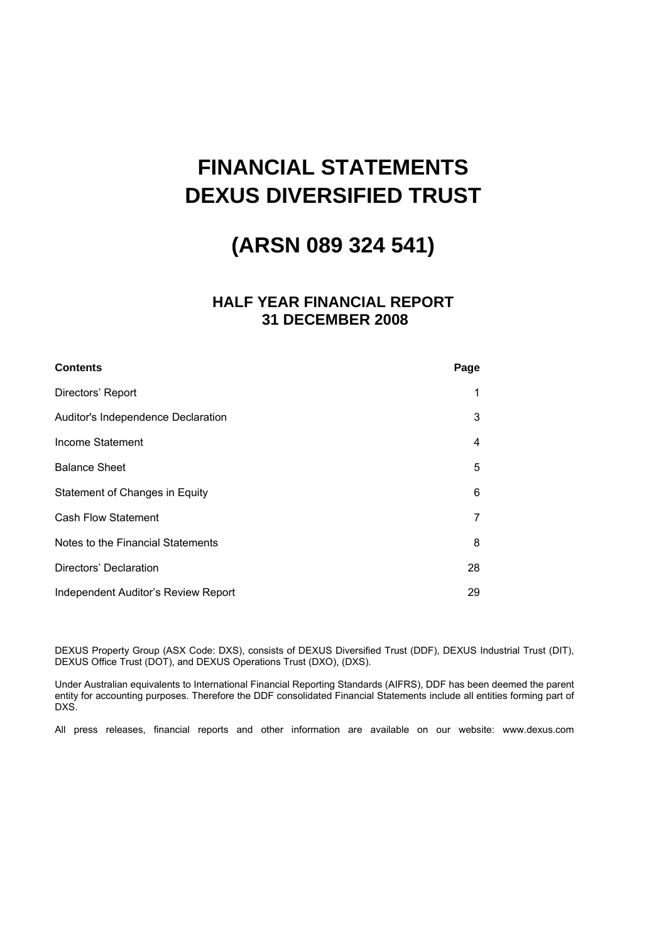# **FINANCIAL STATEMENTS DEXUS DIVERSIFIED TRUST**

# **(ARSN 089 324 541)**

# **HALF YEAR FINANCIAL REPORT 31 DECEMBER 2008**

| <b>Contents</b>                     | Page |
|-------------------------------------|------|
| Directors' Report                   | 1    |
| Auditor's Independence Declaration  | 3    |
| Income Statement                    | 4    |
| <b>Balance Sheet</b>                | 5    |
| Statement of Changes in Equity      | 6    |
| <b>Cash Flow Statement</b>          | 7    |
| Notes to the Financial Statements   | 8    |
| Directors' Declaration              | 28   |
| Independent Auditor's Review Report | 29   |

DEXUS Property Group (ASX Code: DXS), consists of DEXUS Diversified Trust (DDF), DEXUS Industrial Trust (DIT), DEXUS Office Trust (DOT), and DEXUS Operations Trust (DXO), (DXS).

Under Australian equivalents to International Financial Reporting Standards (AIFRS), DDF has been deemed the parent entity for accounting purposes. Therefore the DDF consolidated Financial Statements include all entities forming part of DXS.

All press releases, financial reports and other information are available on our website: www.dexus.com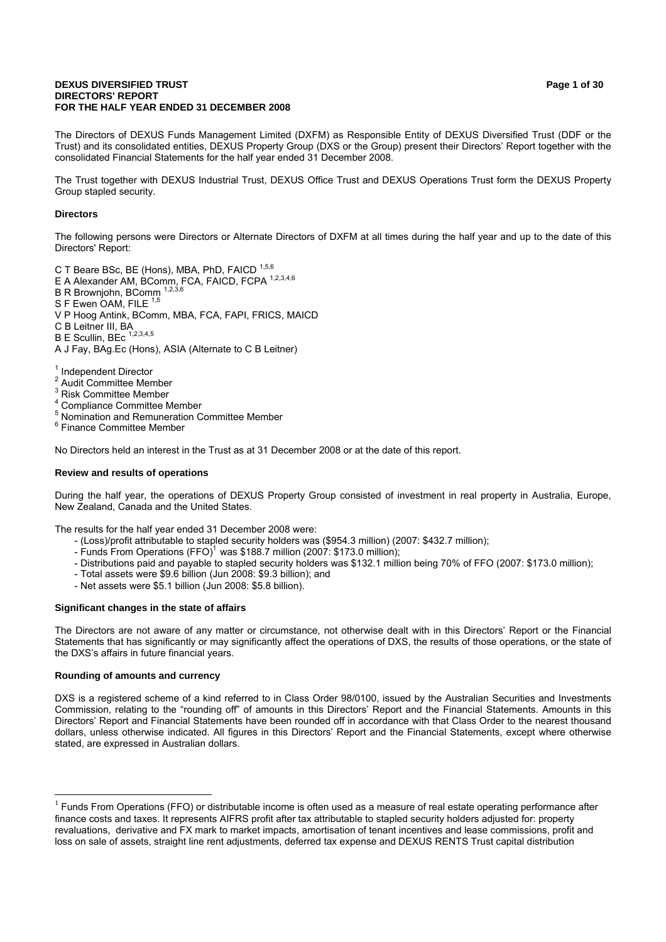#### **DEXUS DIVERSIFIED TRUST Page 1 of 30 Page 1 of 30 DIRECTORS' REPORT FOR THE HALF YEAR ENDED 31 DECEMBER 2008**

The Directors of DEXUS Funds Management Limited (DXFM) as Responsible Entity of DEXUS Diversified Trust (DDF or the Trust) and its consolidated entities, DEXUS Property Group (DXS or the Group) present their Directors' Report together with the consolidated Financial Statements for the half year ended 31 December 2008.

The Trust together with DEXUS Industrial Trust, DEXUS Office Trust and DEXUS Operations Trust form the DEXUS Property Group stapled security.

#### **Directors**

The following persons were Directors or Alternate Directors of DXFM at all times during the half year and up to the date of this Directors' Report:

C T Beare BSc, BE (Hons), MBA, PhD, FAICD 1,5,6

- E A Alexander AM, BComm, FCA, FAICD, FCPA  $^{1,2,3,4,6}$
- B R Browniohn, BComm
- S F Ewen OAM, FILE 1,5
- V P Hoog Antink, BComm, MBA, FCA, FAPI, FRICS, MAICD
- C B Leitner III, BA
- $B \to$  Scullin, BEc  $1,2,3,4,5$

A J Fay, BAg.Ec (Hons), ASIA (Alternate to C B Leitner)

<sup>1</sup> Independent Director

- $\overline{2}$ Audit Committee Member
- <sup>3</sup> Risk Committee Member
- 4 Compliance Committee Member
- <sup>5</sup> Nomination and Remuneration Committee Member
- <sup>6</sup> Finance Committee Member

No Directors held an interest in the Trust as at 31 December 2008 or at the date of this report.

#### **Review and results of operations**

During the half year, the operations of DEXUS Property Group consisted of investment in real property in Australia, Europe, New Zealand, Canada and the United States.

The results for the half year ended 31 December 2008 were:

- (Loss)/profit attributable to stapled security holders was (\$954.3 million) (2007: \$432.7 million);
- Funds From Operations  $(FFO)^1$  was \$188.7 million (2007: \$173.0 million);
- Distributions paid and payable to stapled security holders was \$132.1 million being 70% of FFO (2007: \$173.0 million);
- Total assets were \$9.6 billion (Jun 2008: \$9.3 billion); and
- Net assets were \$5.1 billion (Jun 2008: \$5.8 billion).

#### **Significant changes in the state of affairs**

The Directors are not aware of any matter or circumstance, not otherwise dealt with in this Directors' Report or the Financial Statements that has significantly or may significantly affect the operations of DXS, the results of those operations, or the state of the DXS's affairs in future financial years.

#### **Rounding of amounts and currency**

-

DXS is a registered scheme of a kind referred to in Class Order 98/0100, issued by the Australian Securities and Investments Commission, relating to the "rounding off" of amounts in this Directors' Report and the Financial Statements. Amounts in this Directors' Report and Financial Statements have been rounded off in accordance with that Class Order to the nearest thousand dollars, unless otherwise indicated. All figures in this Directors' Report and the Financial Statements, except where otherwise stated, are expressed in Australian dollars.

 $<sup>1</sup>$  Funds From Operations (FFO) or distributable income is often used as a measure of real estate operating performance after</sup> finance costs and taxes. It represents AIFRS profit after tax attributable to stapled security holders adjusted for: property revaluations, derivative and FX mark to market impacts, amortisation of tenant incentives and lease commissions, profit and loss on sale of assets, straight line rent adjustments, deferred tax expense and DEXUS RENTS Trust capital distribution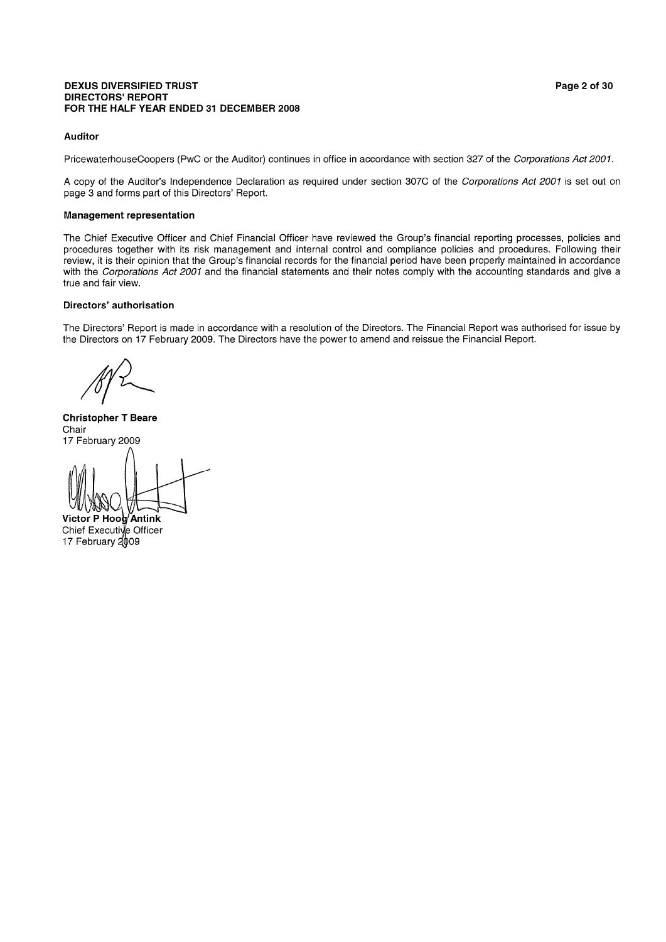#### **DEXUS DIVERSIFIED TRUST DIRECTORS' REPORT** FOR THE HALF YEAR ENDED 31 DECEMBER 2008

#### **Auditor**

PricewaterhouseCoopers (PwC or the Auditor) continues in office in accordance with section 327 of the Corporations Act 2001.

A copy of the Auditor's Independence Declaration as required under section 307C of the Corporations Act 2001 is set out on page 3 and forms part of this Directors' Report.

#### **Management representation**

The Chief Executive Officer and Chief Financial Officer have reviewed the Group's financial reporting processes, policies and procedures together with its risk management and internal control and compliance policies and procedures. Following their review, it is their opinion that the Group's financial records for the financial period have been properly maintained in accordance with the Corporations Act 2001 and the financial statements and their notes comply with the accounting standards and give a true and fair view.

#### Directors' authorisation

The Directors' Report is made in accordance with a resolution of the Directors. The Financial Report was authorised for issue by the Directors on 17 February 2009. The Directors have the power to amend and reissue the Financial Report.

**Christopher T Beare** Chair 17 February 2009

Victor P Hoog Antink Chief Executive Officer 17 February 2009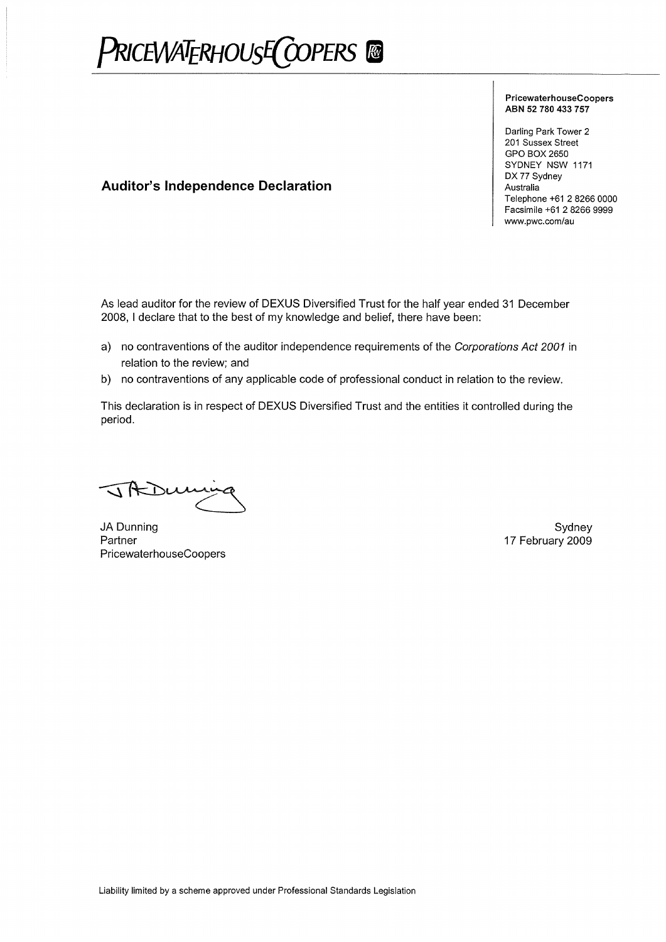PRICEWATERHOUSE COPERS ®

#### PricewaterhouseCoopers ABN 52 780 433 757

Darling Park Tower 2 201 Sussex Street GPO BOX 2650 SYDNEY NSW 1171 DX 77 Sydney Australia Telephone +61 2 8266 0000 Facsimile +61 2 8266 9999 www.pwc.com/au

# **Auditor's Independence Declaration**

As lead auditor for the review of DEXUS Diversified Trust for the half year ended 31 December 2008. I declare that to the best of my knowledge and belief, there have been:

- a) no contraventions of the auditor independence requirements of the Corporations Act 2001 in relation to the review; and
- b) no contraventions of any applicable code of professional conduct in relation to the review.

This declaration is in respect of DEXUS Diversified Trust and the entities it controlled during the period.

JIKDU

JA Dunning Partner PricewaterhouseCoopers

Sydney 17 February 2009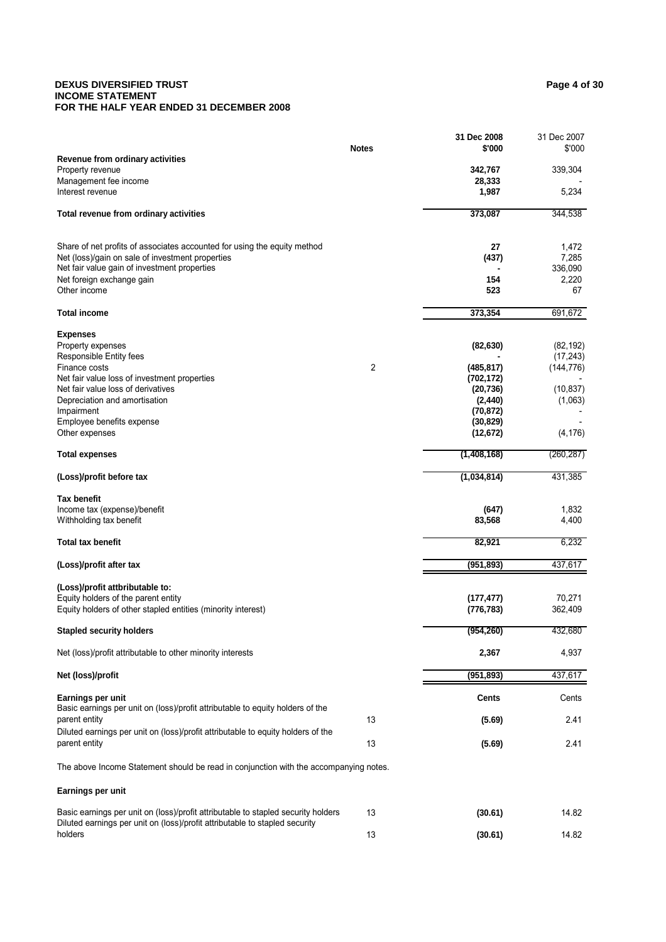#### **DEXUS DIVERSIFIED TRUST** Page 4 of 30 **INCOME STATEMENT FOR THE HALF YEAR ENDED 31 DECEMBER 2008**

|                                                                                                                                                                  |                | 31 Dec 2008 | 31 Dec 2007             |
|------------------------------------------------------------------------------------------------------------------------------------------------------------------|----------------|-------------|-------------------------|
|                                                                                                                                                                  | <b>Notes</b>   | \$'000      | \$'000                  |
| Revenue from ordinary activities<br>Property revenue                                                                                                             |                | 342,767     | 339,304                 |
| Management fee income                                                                                                                                            |                | 28,333      |                         |
| Interest revenue                                                                                                                                                 |                | 1,987       | 5,234                   |
| Total revenue from ordinary activities                                                                                                                           |                | 373,087     | 344,538                 |
|                                                                                                                                                                  |                |             |                         |
| Share of net profits of associates accounted for using the equity method                                                                                         |                | 27          | 1,472                   |
| Net (loss)/gain on sale of investment properties<br>Net fair value gain of investment properties                                                                 |                | (437)       | 7,285<br>336,090        |
| Net foreign exchange gain                                                                                                                                        |                | 154         | 2,220                   |
| Other income                                                                                                                                                     |                | 523         | 67                      |
| <b>Total income</b>                                                                                                                                              |                | 373,354     | 691,672                 |
| <b>Expenses</b>                                                                                                                                                  |                |             |                         |
| Property expenses                                                                                                                                                |                | (82, 630)   | (82, 192)               |
| Responsible Entity fees<br>Finance costs                                                                                                                         | $\overline{c}$ | (485, 817)  | (17, 243)<br>(144, 776) |
| Net fair value loss of investment properties                                                                                                                     |                | (702, 172)  |                         |
| Net fair value loss of derivatives                                                                                                                               |                | (20, 736)   | (10, 837)               |
| Depreciation and amortisation                                                                                                                                    |                | (2, 440)    | (1,063)                 |
| Impairment                                                                                                                                                       |                | (70, 872)   |                         |
| Employee benefits expense                                                                                                                                        |                | (30, 829)   |                         |
| Other expenses                                                                                                                                                   |                | (12, 672)   | (4, 176)                |
| <b>Total expenses</b>                                                                                                                                            |                | (1,408,168) | (260, 287)              |
| (Loss)/profit before tax                                                                                                                                         |                | (1,034,814) | 431,385                 |
| <b>Tax benefit</b>                                                                                                                                               |                |             |                         |
| Income tax (expense)/benefit                                                                                                                                     |                | (647)       | 1,832                   |
| Withholding tax benefit                                                                                                                                          |                | 83,568      | 4,400                   |
| <b>Total tax benefit</b>                                                                                                                                         |                | 82,921      | 6,232                   |
| (Loss)/profit after tax                                                                                                                                          |                | (951, 893)  | 437,617                 |
| (Loss)/profit attbributable to:                                                                                                                                  |                |             |                         |
| Equity holders of the parent entity                                                                                                                              |                | (177, 477)  | 70,271                  |
| Equity holders of other stapled entities (minority interest)                                                                                                     |                | (776, 783)  | 362,409                 |
| <b>Stapled security holders</b>                                                                                                                                  |                | (954, 260)  | 432,680                 |
| Net (loss)/profit attributable to other minority interests                                                                                                       |                | 2,367       | 4,937                   |
| Net (loss)/profit                                                                                                                                                |                | (951, 893)  | 437,617                 |
| Earnings per unit                                                                                                                                                |                | Cents       | Cents                   |
| Basic earnings per unit on (loss)/profit attributable to equity holders of the<br>parent entity                                                                  | 13             | (5.69)      | 2.41                    |
| Diluted earnings per unit on (loss)/profit attributable to equity holders of the                                                                                 |                |             |                         |
| parent entity                                                                                                                                                    | 13             | (5.69)      | 2.41                    |
| The above Income Statement should be read in conjunction with the accompanying notes.                                                                            |                |             |                         |
| Earnings per unit                                                                                                                                                |                |             |                         |
| Basic earnings per unit on (loss)/profit attributable to stapled security holders<br>Diluted earnings per unit on (loss)/profit attributable to stapled security | 13             | (30.61)     | 14.82                   |
| holders                                                                                                                                                          | 13             | (30.61)     | 14.82                   |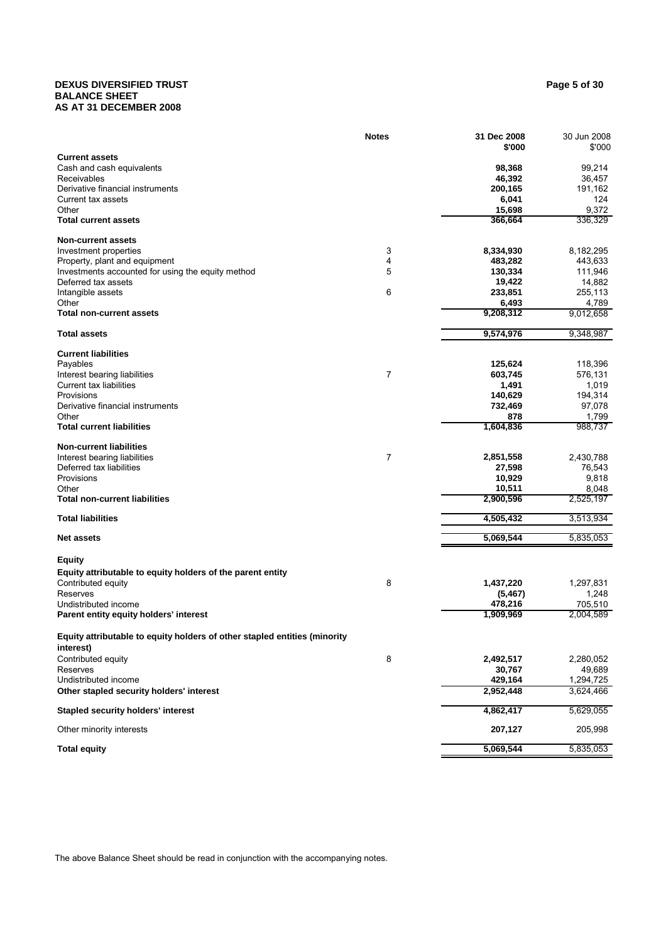#### **DEXUS DIVERSIFIED TRUST Page 5 of 30 BALANCE SHEET AS AT 31 DECEMBER 2008**

|                                                                           | <b>Notes</b> | 31 Dec 2008<br>\$'000 | 30 Jun 2008<br>\$'000 |
|---------------------------------------------------------------------------|--------------|-----------------------|-----------------------|
| <b>Current assets</b>                                                     |              |                       |                       |
| Cash and cash equivalents                                                 |              | 98,368                | 99,214                |
| Receivables                                                               |              | 46,392                | 36,457                |
| Derivative financial instruments                                          |              | 200,165               | 191,162               |
| Current tax assets<br>Other                                               |              | 6,041<br>15,698       | 124<br>9,372          |
| <b>Total current assets</b>                                               |              | 366,664               | 336,329               |
| <b>Non-current assets</b>                                                 |              |                       |                       |
| Investment properties                                                     | 3            | 8,334,930             | 8,182,295             |
| Property, plant and equipment                                             | 4            | 483,282               | 443,633               |
| Investments accounted for using the equity method                         | 5            | 130,334               | 111,946               |
| Deferred tax assets                                                       |              | 19,422                | 14,882                |
| Intangible assets                                                         | 6            | 233,851               | 255,113               |
| Other                                                                     |              | 6,493                 | 4,789                 |
| <b>Total non-current assets</b>                                           |              | 9,208,312             | 9,012,658             |
| <b>Total assets</b>                                                       |              | 9,574,976             | 9,348,987             |
| <b>Current liabilities</b>                                                |              |                       |                       |
| Payables                                                                  |              | 125,624               | 118,396               |
| Interest bearing liabilities                                              | 7            | 603,745<br>1,491      | 576,131               |
| Current tax liabilities<br>Provisions                                     |              | 140,629               | 1,019<br>194,314      |
| Derivative financial instruments                                          |              | 732,469               | 97,078                |
| Other                                                                     |              | 878                   | 1,799                 |
| <b>Total current liabilities</b>                                          |              | 1,604,836             | 988,737               |
| <b>Non-current liabilities</b>                                            |              |                       |                       |
| Interest bearing liabilities                                              | 7            | 2,851,558             | 2,430,788             |
| Deferred tax liabilities                                                  |              | 27,598                | 76,543                |
| Provisions                                                                |              | 10,929                | 9,818                 |
| Other<br><b>Total non-current liabilities</b>                             |              | 10,511<br>2,900,596   | 8,048<br>2,525,197    |
|                                                                           |              |                       |                       |
| <b>Total liabilities</b>                                                  |              | 4,505,432             | 3,513,934             |
| <b>Net assets</b>                                                         |              | 5,069,544             | 5,835,053             |
| <b>Equity</b>                                                             |              |                       |                       |
| Equity attributable to equity holders of the parent entity                |              |                       |                       |
| Contributed equity                                                        | 8            | 1,437,220             | 1,297,831             |
| Reserves                                                                  |              | (5, 467)              | 1,248                 |
| Undistributed income                                                      |              | 478,216               | 705,510               |
| Parent entity equity holders' interest                                    |              | 1,909,969             | 2,004,589             |
| Equity attributable to equity holders of other stapled entities (minority |              |                       |                       |
| interest)                                                                 |              |                       |                       |
| Contributed equity                                                        | 8            | 2,492,517             | 2,280,052             |
| Reserves<br>Undistributed income                                          |              | 30,767<br>429,164     | 49,689<br>1,294,725   |
| Other stapled security holders' interest                                  |              | 2,952,448             | 3,624,466             |
|                                                                           |              |                       |                       |
| <b>Stapled security holders' interest</b>                                 |              | 4,862,417             | 5,629,055             |
| Other minority interests                                                  |              | 207,127               | 205,998               |
| <b>Total equity</b>                                                       |              | 5,069,544             | 5,835,053             |

The above Balance Sheet should be read in conjunction with the accompanying notes.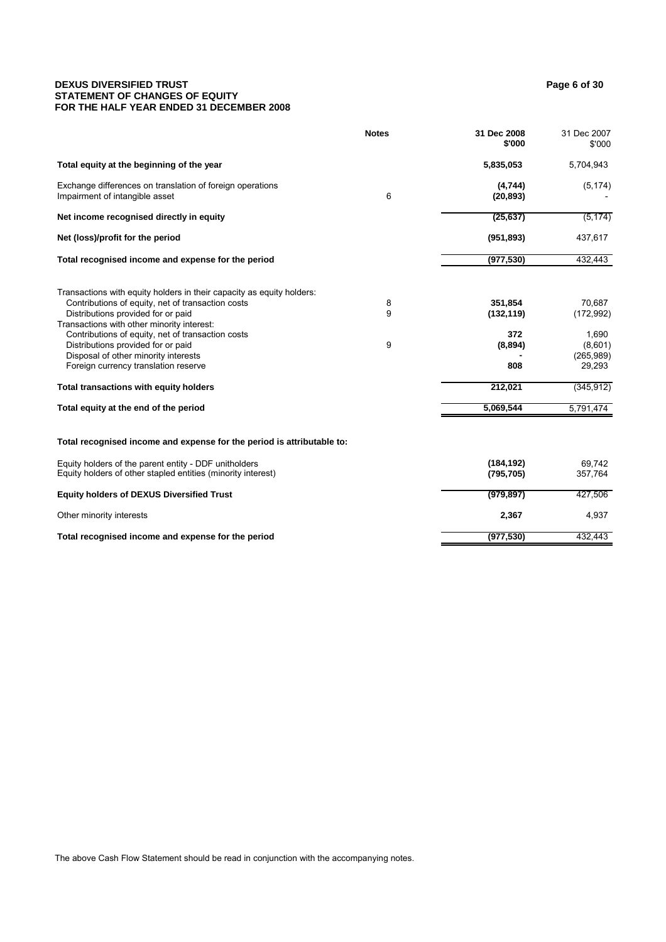#### **DEXUS DIVERSIFIED TRUST Page 6 of 30 Page 6 of 30 STATEMENT OF CHANGES OF EQUITY FOR THE HALF YEAR ENDED 31 DECEMBER 2008**

|                                                                                                                                                                                                                | <b>Notes</b> | 31 Dec 2008<br>\$'000    | 31 Dec 2007<br>\$'000                   |
|----------------------------------------------------------------------------------------------------------------------------------------------------------------------------------------------------------------|--------------|--------------------------|-----------------------------------------|
| Total equity at the beginning of the year                                                                                                                                                                      |              | 5,835,053                | 5,704,943                               |
| Exchange differences on translation of foreign operations<br>Impairment of intangible asset                                                                                                                    | 6            | (4,744)<br>(20, 893)     | (5, 174)                                |
| Net income recognised directly in equity                                                                                                                                                                       |              | (25, 637)                | (5, 174)                                |
| Net (loss)/profit for the period                                                                                                                                                                               |              | (951, 893)               | 437,617                                 |
| Total recognised income and expense for the period                                                                                                                                                             |              | (977, 530)               | 432,443                                 |
| Transactions with equity holders in their capacity as equity holders:<br>Contributions of equity, net of transaction costs<br>Distributions provided for or paid<br>Transactions with other minority interest: | 8<br>9       | 351,854<br>(132, 119)    | 70,687<br>(172, 992)                    |
| Contributions of equity, net of transaction costs<br>Distributions provided for or paid<br>Disposal of other minority interests<br>Foreign currency translation reserve                                        | 9            | 372<br>(8,894)<br>808    | 1,690<br>(8,601)<br>(265,989)<br>29,293 |
| Total transactions with equity holders                                                                                                                                                                         |              | 212,021                  | (345, 912)                              |
| Total equity at the end of the period                                                                                                                                                                          |              | 5,069,544                | 5,791,474                               |
| Total recognised income and expense for the period is attributable to:                                                                                                                                         |              |                          |                                         |
| Equity holders of the parent entity - DDF unitholders<br>Equity holders of other stapled entities (minority interest)                                                                                          |              | (184, 192)<br>(795, 705) | 69.742<br>357,764                       |
| <b>Equity holders of DEXUS Diversified Trust</b>                                                                                                                                                               |              | (979, 897)               | 427,506                                 |
| Other minority interests                                                                                                                                                                                       |              | 2,367                    | 4,937                                   |
| Total recognised income and expense for the period                                                                                                                                                             |              | (977, 530)               | 432,443                                 |

The above Cash Flow Statement should be read in conjunction with the accompanying notes.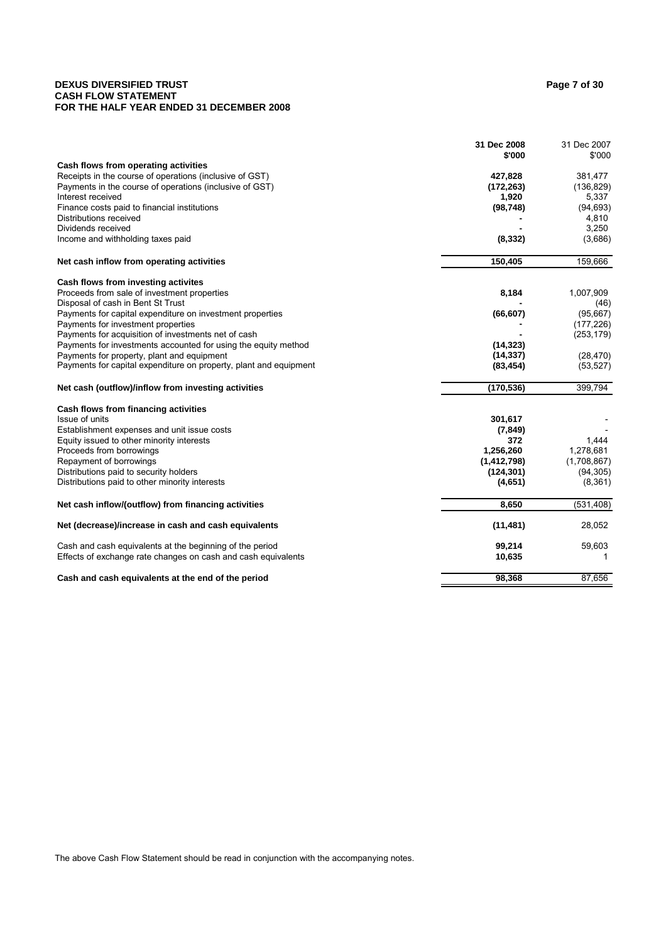#### **DEXUS DIVERSIFIED TRUST Page 7 of 30 CASH FLOW STATEMENT FOR THE HALF YEAR ENDED 31 DECEMBER 2008**

|                                                                   | 31 Dec 2008<br>\$'000 | 31 Dec 2007<br>\$'000 |
|-------------------------------------------------------------------|-----------------------|-----------------------|
| Cash flows from operating activities                              |                       |                       |
| Receipts in the course of operations (inclusive of GST)           | 427,828               | 381,477               |
| Payments in the course of operations (inclusive of GST)           | (172, 263)            | (136, 829)            |
| Interest received                                                 | 1,920                 | 5,337                 |
| Finance costs paid to financial institutions                      | (98, 748)             | (94, 693)             |
| Distributions received                                            |                       | 4,810                 |
| Dividends received                                                |                       | 3,250                 |
| Income and withholding taxes paid                                 | (8, 332)              | (3,686)               |
| Net cash inflow from operating activities                         | 150,405               | 159,666               |
| Cash flows from investing activites                               |                       |                       |
| Proceeds from sale of investment properties                       | 8,184                 | 1,007,909             |
| Disposal of cash in Bent St Trust                                 |                       | (46)                  |
| Payments for capital expenditure on investment properties         | (66, 607)             | (95,667)              |
| Payments for investment properties                                |                       | (177, 226)            |
| Payments for acquisition of investments net of cash               |                       | (253, 179)            |
| Payments for investments accounted for using the equity method    | (14, 323)             |                       |
| Payments for property, plant and equipment                        | (14, 337)             | (28, 470)             |
| Payments for capital expenditure on property, plant and equipment | (83, 454)             | (53, 527)             |
| Net cash (outflow)/inflow from investing activities               | (170, 536)            | 399,794               |
| Cash flows from financing activities                              |                       |                       |
| Issue of units                                                    | 301,617               |                       |
| Establishment expenses and unit issue costs                       | (7, 849)              |                       |
| Equity issued to other minority interests                         | 372                   | 1,444                 |
| Proceeds from borrowings                                          | 1,256,260             | 1,278,681             |
| Repayment of borrowings                                           | (1, 412, 798)         | (1,708,867)           |
| Distributions paid to security holders                            | (124, 301)            | (94, 305)             |
| Distributions paid to other minority interests                    | (4,651)               | (8, 361)              |
| Net cash inflow/(outflow) from financing activities               | 8,650                 | (531, 408)            |
| Net (decrease)/increase in cash and cash equivalents              | (11, 481)             | 28,052                |
| Cash and cash equivalents at the beginning of the period          | 99,214                | 59,603                |
| Effects of exchange rate changes on cash and cash equivalents     | 10,635                | 1                     |
| Cash and cash equivalents at the end of the period                | 98,368                | 87,656                |

The above Cash Flow Statement should be read in conjunction with the accompanying notes.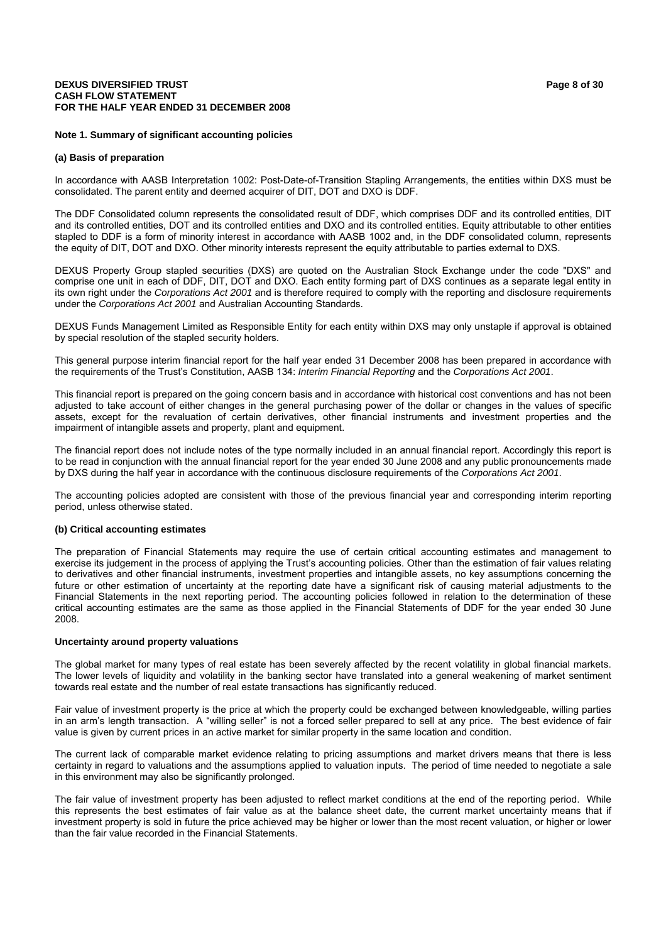#### **DEXUS DIVERSIFIED TRUST Page 8 of 30 Page 8 of 30 CASH FLOW STATEMENT FOR THE HALF YEAR ENDED 31 DECEMBER 2008**

#### **Note 1. Summary of significant accounting policies**

#### **(a) Basis of preparation**

In accordance with AASB Interpretation 1002: Post-Date-of-Transition Stapling Arrangements, the entities within DXS must be consolidated. The parent entity and deemed acquirer of DIT, DOT and DXO is DDF.

The DDF Consolidated column represents the consolidated result of DDF, which comprises DDF and its controlled entities, DIT and its controlled entities, DOT and its controlled entities and DXO and its controlled entities. Equity attributable to other entities stapled to DDF is a form of minority interest in accordance with AASB 1002 and, in the DDF consolidated column, represents the equity of DIT, DOT and DXO. Other minority interests represent the equity attributable to parties external to DXS.

DEXUS Property Group stapled securities (DXS) are quoted on the Australian Stock Exchange under the code "DXS" and comprise one unit in each of DDF, DIT, DOT and DXO. Each entity forming part of DXS continues as a separate legal entity in its own right under the *Corporations Act 2001* and is therefore required to comply with the reporting and disclosure requirements under the *Corporations Act 2001* and Australian Accounting Standards.

DEXUS Funds Management Limited as Responsible Entity for each entity within DXS may only unstaple if approval is obtained by special resolution of the stapled security holders.

This general purpose interim financial report for the half year ended 31 December 2008 has been prepared in accordance with the requirements of the Trust's Constitution, AASB 134: *Interim Financial Reporting* and the *Corporations Act 2001*.

This financial report is prepared on the going concern basis and in accordance with historical cost conventions and has not been adjusted to take account of either changes in the general purchasing power of the dollar or changes in the values of specific assets, except for the revaluation of certain derivatives, other financial instruments and investment properties and the impairment of intangible assets and property, plant and equipment.

The financial report does not include notes of the type normally included in an annual financial report. Accordingly this report is to be read in conjunction with the annual financial report for the year ended 30 June 2008 and any public pronouncements made by DXS during the half year in accordance with the continuous disclosure requirements of the *Corporations Act 2001*.

The accounting policies adopted are consistent with those of the previous financial year and corresponding interim reporting period, unless otherwise stated.

#### **(b) Critical accounting estimates**

The preparation of Financial Statements may require the use of certain critical accounting estimates and management to exercise its judgement in the process of applying the Trust's accounting policies. Other than the estimation of fair values relating to derivatives and other financial instruments, investment properties and intangible assets, no key assumptions concerning the future or other estimation of uncertainty at the reporting date have a significant risk of causing material adjustments to the Financial Statements in the next reporting period. The accounting policies followed in relation to the determination of these critical accounting estimates are the same as those applied in the Financial Statements of DDF for the year ended 30 June 2008.

#### **Uncertainty around property valuations**

The global market for many types of real estate has been severely affected by the recent volatility in global financial markets. The lower levels of liquidity and volatility in the banking sector have translated into a general weakening of market sentiment towards real estate and the number of real estate transactions has significantly reduced.

Fair value of investment property is the price at which the property could be exchanged between knowledgeable, willing parties in an arm's length transaction. A "willing seller" is not a forced seller prepared to sell at any price. The best evidence of fair value is given by current prices in an active market for similar property in the same location and condition.

The current lack of comparable market evidence relating to pricing assumptions and market drivers means that there is less certainty in regard to valuations and the assumptions applied to valuation inputs. The period of time needed to negotiate a sale in this environment may also be significantly prolonged.

The fair value of investment property has been adjusted to reflect market conditions at the end of the reporting period. While this represents the best estimates of fair value as at the balance sheet date, the current market uncertainty means that if investment property is sold in future the price achieved may be higher or lower than the most recent valuation, or higher or lower than the fair value recorded in the Financial Statements.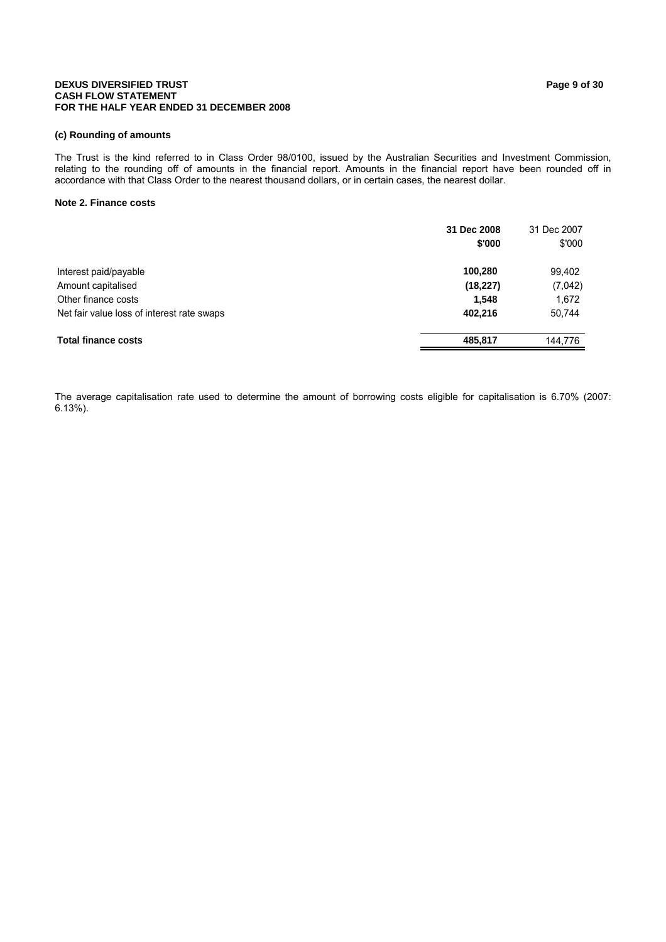#### **DEXUS DIVERSIFIED TRUST Page 9 of 30 Page 9 of 30 CASH FLOW STATEMENT FOR THE HALF YEAR ENDED 31 DECEMBER 2008**

#### **(c) Rounding of amounts**

The Trust is the kind referred to in Class Order 98/0100, issued by the Australian Securities and Investment Commission, relating to the rounding off of amounts in the financial report. Amounts in the financial report have been rounded off in accordance with that Class Order to the nearest thousand dollars, or in certain cases, the nearest dollar.

#### **Note 2. Finance costs**

|                                            | 31 Dec 2008<br>\$'000 | 31 Dec 2007<br>\$'000 |
|--------------------------------------------|-----------------------|-----------------------|
| Interest paid/payable                      | 100,280               | 99,402                |
| Amount capitalised                         | (18, 227)             | (7,042)               |
| Other finance costs                        | 1.548                 | 1,672                 |
| Net fair value loss of interest rate swaps | 402,216               | 50,744                |
| <b>Total finance costs</b>                 | 485.817               | 144.776               |

The average capitalisation rate used to determine the amount of borrowing costs eligible for capitalisation is 6.70% (2007: 6.13%).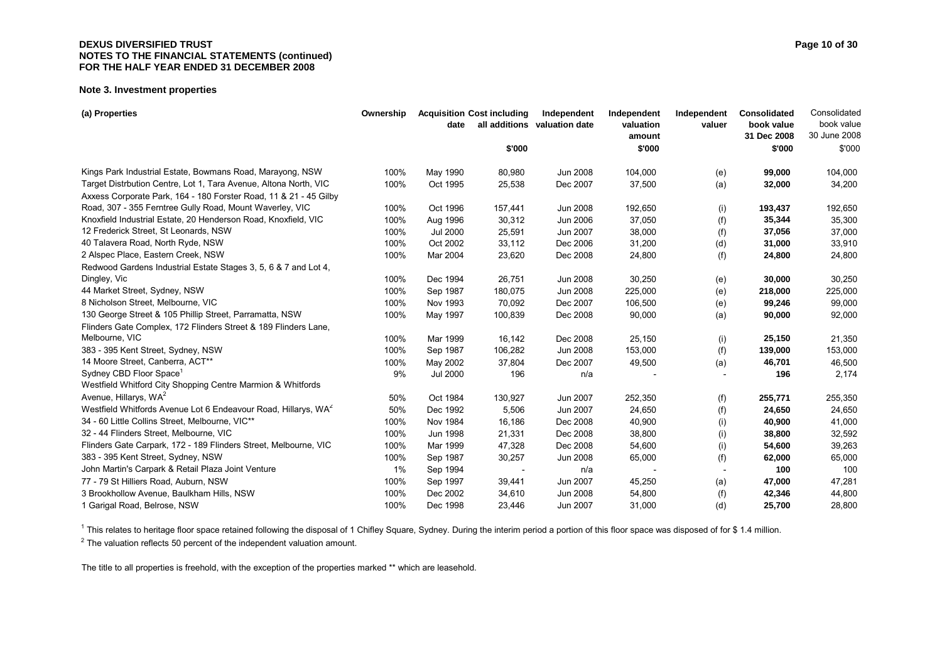#### **DEXUS DIVERSIFIED TRUST** Page 10 of 30 **NOTES TO THE FINANCIAL STATEMENTS (continued) FOR THE HALF YEAR ENDED 31 DECEMBER 2008**

#### **Note 3. Investment properties**

| (a) Properties                                                             | Ownership | date            | <b>Acquisition Cost including</b> | Independent<br>all additions valuation date | Independent<br>valuation | Independent<br>valuer | Consolidated<br>book value | Consolidated<br>book value |
|----------------------------------------------------------------------------|-----------|-----------------|-----------------------------------|---------------------------------------------|--------------------------|-----------------------|----------------------------|----------------------------|
|                                                                            |           |                 |                                   |                                             | amount                   |                       | 31 Dec 2008                | 30 June 2008               |
|                                                                            |           |                 | \$'000                            |                                             | \$'000                   |                       | \$'000                     | \$'000                     |
| Kings Park Industrial Estate, Bowmans Road, Marayong, NSW                  | 100%      | May 1990        | 80,980                            | Jun 2008                                    | 104,000                  | (e)                   | 99,000                     | 104,000                    |
| Target Distrbution Centre, Lot 1, Tara Avenue, Altona North, VIC           | 100%      | Oct 1995        | 25,538                            | Dec 2007                                    | 37,500                   | (a)                   | 32,000                     | 34,200                     |
| Axxess Corporate Park, 164 - 180 Forster Road, 11 & 21 - 45 Gilby          |           |                 |                                   |                                             |                          |                       |                            |                            |
| Road, 307 - 355 Ferntree Gully Road, Mount Waverley, VIC                   | 100%      | Oct 1996        | 157,441                           | Jun 2008                                    | 192,650                  | (i)                   | 193,437                    | 192,650                    |
| Knoxfield Industrial Estate, 20 Henderson Road, Knoxfield, VIC             | 100%      | Aug 1996        | 30,312                            | Jun 2006                                    | 37,050                   | (f)                   | 35,344                     | 35,300                     |
| 12 Frederick Street, St Leonards, NSW                                      | 100%      | <b>Jul 2000</b> | 25,591                            | Jun 2007                                    | 38,000                   | (f)                   | 37,056                     | 37,000                     |
| 40 Talavera Road, North Ryde, NSW                                          | 100%      | Oct 2002        | 33,112                            | Dec 2006                                    | 31,200                   | (d)                   | 31,000                     | 33,910                     |
| 2 Alspec Place, Eastern Creek, NSW                                         | 100%      | Mar 2004        | 23,620                            | Dec 2008                                    | 24,800                   | (f)                   | 24,800                     | 24,800                     |
| Redwood Gardens Industrial Estate Stages 3, 5, 6 & 7 and Lot 4,            |           |                 |                                   |                                             |                          |                       |                            |                            |
| Dingley, Vic                                                               | 100%      | Dec 1994        | 26,751                            | <b>Jun 2008</b>                             | 30,250                   | (e)                   | 30,000                     | 30,250                     |
| 44 Market Street, Sydney, NSW                                              | 100%      | Sep 1987        | 180,075                           | Jun 2008                                    | 225,000                  | (e)                   | 218,000                    | 225,000                    |
| 8 Nicholson Street, Melbourne, VIC                                         | 100%      | Nov 1993        | 70,092                            | Dec 2007                                    | 106,500                  | (e)                   | 99,246                     | 99,000                     |
| 130 George Street & 105 Phillip Street, Parramatta, NSW                    | 100%      | May 1997        | 100,839                           | Dec 2008                                    | 90,000                   | (a)                   | 90,000                     | 92,000                     |
| Flinders Gate Complex, 172 Flinders Street & 189 Flinders Lane,            |           |                 |                                   |                                             |                          |                       |                            |                            |
| Melbourne, VIC                                                             | 100%      | Mar 1999        | 16,142                            | Dec 2008                                    | 25,150                   | (i)                   | 25,150                     | 21,350                     |
| 383 - 395 Kent Street, Sydney, NSW                                         | 100%      | Sep 1987        | 106,282                           | Jun 2008                                    | 153,000                  | (f)                   | 139,000                    | 153,000                    |
| 14 Moore Street, Canberra, ACT**                                           | 100%      | May 2002        | 37,804                            | Dec 2007                                    | 49,500                   | (a)                   | 46,701                     | 46,500                     |
| Sydney CBD Floor Space <sup>1</sup>                                        | 9%        | <b>Jul 2000</b> | 196                               | n/a                                         |                          |                       | 196                        | 2,174                      |
| Westfield Whitford City Shopping Centre Marmion & Whitfords                |           |                 |                                   |                                             |                          |                       |                            |                            |
| Avenue, Hillarys, WA <sup>2</sup>                                          | 50%       | Oct 1984        | 130,927                           | Jun 2007                                    | 252,350                  | (f)                   | 255,771                    | 255,350                    |
| Westfield Whitfords Avenue Lot 6 Endeavour Road, Hillarys, WA <sup>2</sup> | 50%       | Dec 1992        | 5,506                             | Jun 2007                                    | 24,650                   | (f)                   | 24,650                     | 24,650                     |
| 34 - 60 Little Collins Street, Melbourne, VIC**                            | 100%      | Nov 1984        | 16,186                            | Dec 2008                                    | 40,900                   | (i)                   | 40,900                     | 41,000                     |
| 32 - 44 Flinders Street, Melbourne, VIC                                    | 100%      | <b>Jun 1998</b> | 21,331                            | Dec 2008                                    | 38,800                   | (i)                   | 38,800                     | 32,592                     |
| Flinders Gate Carpark, 172 - 189 Flinders Street, Melbourne, VIC           | 100%      | Mar 1999        | 47,328                            | Dec 2008                                    | 54,600                   | (i)                   | 54,600                     | 39,263                     |
| 383 - 395 Kent Street, Sydney, NSW                                         | 100%      | Sep 1987        | 30,257                            | Jun 2008                                    | 65,000                   | (f)                   | 62,000                     | 65,000                     |
| John Martin's Carpark & Retail Plaza Joint Venture                         | $1\%$     | Sep 1994        |                                   | n/a                                         |                          |                       | 100                        | 100                        |
| 77 - 79 St Hilliers Road, Auburn, NSW                                      | 100%      | Sep 1997        | 39,441                            | Jun 2007                                    | 45,250                   | (a)                   | 47,000                     | 47,281                     |
| 3 Brookhollow Avenue, Baulkham Hills, NSW                                  | 100%      | Dec 2002        | 34,610                            | Jun 2008                                    | 54,800                   | (f)                   | 42,346                     | 44,800                     |
| 1 Garigal Road, Belrose, NSW                                               | 100%      | Dec 1998        | 23,446                            | Jun 2007                                    | 31,000                   | (d)                   | 25,700                     | 28,800                     |

<sup>1</sup> This relates to heritage floor space retained following the disposal of 1 Chifley Square, Sydney. During the interim period a portion of this floor space was disposed of for \$1.4 million.

 $2$  The valuation reflects 50 percent of the independent valuation amount.

The title to all properties is freehold, with the exception of the properties marked \*\* which are leasehold.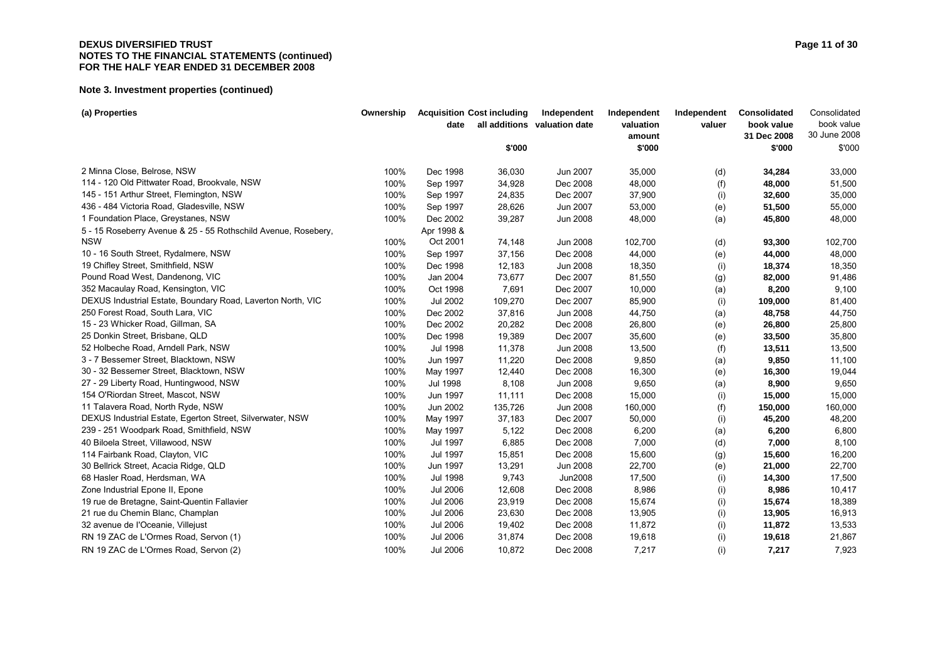#### **DEXUS DIVERSIFIED TRUST** Page 11 of 30 **NOTES TO THE FINANCIAL STATEMENTS (continued) FOR THE HALF YEAR ENDED 31 DECEMBER 2008**

| (a) Properties                                                 | Ownership |                 | <b>Acquisition Cost including</b> | Independent                  | Independent         | Independent | Consolidated              | Consolidated<br>book value |
|----------------------------------------------------------------|-----------|-----------------|-----------------------------------|------------------------------|---------------------|-------------|---------------------------|----------------------------|
|                                                                |           | date            |                                   | all additions valuation date | valuation<br>amount | valuer      | book value<br>31 Dec 2008 | 30 June 2008               |
|                                                                |           |                 | \$'000                            |                              | \$'000              |             | \$'000                    | \$'000                     |
| 2 Minna Close, Belrose, NSW                                    | 100%      | Dec 1998        | 36,030                            | Jun 2007                     | 35,000              | (d)         | 34,284                    | 33,000                     |
| 114 - 120 Old Pittwater Road, Brookvale, NSW                   | 100%      | Sep 1997        | 34,928                            | Dec 2008                     | 48,000              | (f)         | 48,000                    | 51,500                     |
| 145 - 151 Arthur Street, Flemington, NSW                       | 100%      | Sep 1997        | 24,835                            | Dec 2007                     | 37,900              | (i)         | 32,600                    | 35,000                     |
| 436 - 484 Victoria Road, Gladesville, NSW                      | 100%      | Sep 1997        | 28,626                            | Jun 2007                     | 53,000              | (e)         | 51,500                    | 55,000                     |
| 1 Foundation Place, Greystanes, NSW                            | 100%      | Dec 2002        | 39,287                            | Jun 2008                     | 48,000              | (a)         | 45,800                    | 48,000                     |
| 5 - 15 Roseberry Avenue & 25 - 55 Rothschild Avenue, Rosebery, |           | Apr 1998 &      |                                   |                              |                     |             |                           |                            |
| <b>NSW</b>                                                     | 100%      | Oct 2001        | 74,148                            | Jun 2008                     | 102,700             | (d)         | 93,300                    | 102,700                    |
| 10 - 16 South Street, Rydalmere, NSW                           | 100%      | Sep 1997        | 37,156                            | Dec 2008                     | 44,000              | (e)         | 44,000                    | 48,000                     |
| 19 Chifley Street, Smithfield, NSW                             | 100%      | Dec 1998        | 12,183                            | Jun 2008                     | 18,350              | (i)         | 18,374                    | 18,350                     |
| Pound Road West, Dandenong, VIC                                | 100%      | Jan 2004        | 73,677                            | Dec 2007                     | 81,550              | (g)         | 82,000                    | 91,486                     |
| 352 Macaulay Road, Kensington, VIC                             | 100%      | Oct 1998        | 7,691                             | Dec 2007                     | 10,000              | (a)         | 8,200                     | 9,100                      |
| DEXUS Industrial Estate, Boundary Road, Laverton North, VIC    | 100%      | <b>Jul 2002</b> | 109,270                           | Dec 2007                     | 85,900              | (i)         | 109,000                   | 81,400                     |
| 250 Forest Road, South Lara, VIC                               | 100%      | Dec 2002        | 37,816                            | Jun 2008                     | 44,750              | (a)         | 48,758                    | 44,750                     |
| 15 - 23 Whicker Road, Gillman, SA                              | 100%      | Dec 2002        | 20,282                            | Dec 2008                     | 26,800              | (e)         | 26,800                    | 25,800                     |
| 25 Donkin Street, Brisbane, QLD                                | 100%      | Dec 1998        | 19,389                            | Dec 2007                     | 35,600              | (e)         | 33,500                    | 35,800                     |
| 52 Holbeche Road, Arndell Park, NSW                            | 100%      | Jul 1998        | 11,378                            | Jun 2008                     | 13,500              | (f)         | 13,511                    | 13,500                     |
| 3 - 7 Bessemer Street, Blacktown, NSW                          | 100%      | Jun 1997        | 11,220                            | Dec 2008                     | 9,850               | (a)         | 9,850                     | 11,100                     |
| 30 - 32 Bessemer Street, Blacktown, NSW                        | 100%      | May 1997        | 12,440                            | Dec 2008                     | 16,300              | (e)         | 16,300                    | 19,044                     |
| 27 - 29 Liberty Road, Huntingwood, NSW                         | 100%      | <b>Jul 1998</b> | 8,108                             | Jun 2008                     | 9,650               | (a)         | 8,900                     | 9,650                      |
| 154 O'Riordan Street, Mascot, NSW                              | 100%      | Jun 1997        | 11,111                            | Dec 2008                     | 15,000              | (i)         | 15,000                    | 15,000                     |
| 11 Talavera Road, North Ryde, NSW                              | 100%      | Jun 2002        | 135,726                           | Jun 2008                     | 160,000             | (f)         | 150,000                   | 160,000                    |
| DEXUS Industrial Estate, Egerton Street, Silverwater, NSW      | 100%      | May 1997        | 37,183                            | Dec 2007                     | 50,000              | (i)         | 45,200                    | 48,200                     |
| 239 - 251 Woodpark Road, Smithfield, NSW                       | 100%      | May 1997        | 5,122                             | Dec 2008                     | 6,200               | (a)         | 6,200                     | 6,800                      |
| 40 Biloela Street, Villawood, NSW                              | 100%      | Jul 1997        | 6,885                             | Dec 2008                     | 7,000               | (d)         | 7,000                     | 8,100                      |
| 114 Fairbank Road, Clayton, VIC                                | 100%      | Jul 1997        | 15,851                            | Dec 2008                     | 15,600              | (g)         | 15,600                    | 16,200                     |
| 30 Bellrick Street, Acacia Ridge, QLD                          | 100%      | Jun 1997        | 13,291                            | Jun 2008                     | 22,700              | (e)         | 21,000                    | 22,700                     |
| 68 Hasler Road, Herdsman, WA                                   | 100%      | <b>Jul 1998</b> | 9,743                             | <b>Jun2008</b>               | 17,500              | (i)         | 14,300                    | 17,500                     |
| Zone Industrial Epone II, Epone                                | 100%      | <b>Jul 2006</b> | 12,608                            | Dec 2008                     | 8,986               | (i)         | 8,986                     | 10,417                     |
| 19 rue de Bretagne, Saint-Quentin Fallavier                    | 100%      | <b>Jul 2006</b> | 23,919                            | Dec 2008                     | 15,674              | (i)         | 15,674                    | 18,389                     |
| 21 rue du Chemin Blanc, Champlan                               | 100%      | <b>Jul 2006</b> | 23,630                            | Dec 2008                     | 13,905              | (i)         | 13,905                    | 16,913                     |
| 32 avenue de l'Oceanie, Villejust                              | 100%      | <b>Jul 2006</b> | 19,402                            | Dec 2008                     | 11,872              | (i)         | 11,872                    | 13,533                     |
| RN 19 ZAC de L'Ormes Road, Servon (1)                          | 100%      | <b>Jul 2006</b> | 31,874                            | Dec 2008                     | 19,618              | (i)         | 19,618                    | 21,867                     |
| RN 19 ZAC de L'Ormes Road, Servon (2)                          | 100%      | <b>Jul 2006</b> | 10.872                            | Dec 2008                     | 7.217               | (i)         | 7.217                     | 7,923                      |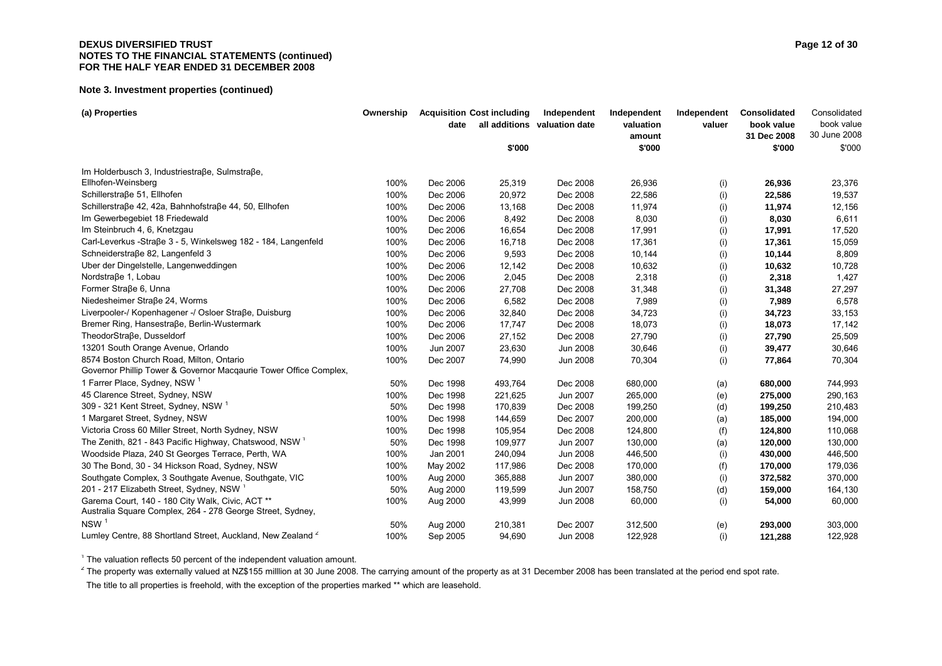#### **DEXUS DIVERSIFIED TRUST** Page 12 of 30 **NOTES TO THE FINANCIAL STATEMENTS (continued) FOR THE HALF YEAR ENDED 31 DECEMBER 2008**

#### **Note 3. Investment properties (continued)**

| (a) Properties                                                         | Ownership |          | <b>Acquisition Cost including</b> | Independent                  | Independent      | Independent | Consolidated          | Consolidated               |
|------------------------------------------------------------------------|-----------|----------|-----------------------------------|------------------------------|------------------|-------------|-----------------------|----------------------------|
|                                                                        |           | date     |                                   | all additions valuation date | valuation        | valuer      | book value            | book value<br>30 June 2008 |
|                                                                        |           |          |                                   |                              | amount<br>\$'000 |             | 31 Dec 2008<br>\$'000 |                            |
|                                                                        |           |          | \$'000                            |                              |                  |             |                       | \$'000                     |
| Im Holderbusch 3, Industriestraße, Sulmstraße,                         |           |          |                                   |                              |                  |             |                       |                            |
| Ellhofen-Weinsberg                                                     | 100%      | Dec 2006 | 25,319                            | Dec 2008                     | 26,936           | (i)         | 26,936                | 23,376                     |
| Schillerstraße 51, Ellhofen                                            | 100%      | Dec 2006 | 20,972                            | Dec 2008                     | 22,586           | (i)         | 22,586                | 19,537                     |
| Schillerstraße 42, 42a, Bahnhofstraße 44, 50, Ellhofen                 | 100%      | Dec 2006 | 13,168                            | Dec 2008                     | 11,974           | (i)         | 11,974                | 12,156                     |
| Im Gewerbegebiet 18 Friedewald                                         | 100%      | Dec 2006 | 8,492                             | Dec 2008                     | 8,030            | (i)         | 8,030                 | 6,611                      |
| Im Steinbruch 4, 6, Knetzgau                                           | 100%      | Dec 2006 | 16,654                            | Dec 2008                     | 17,991           | (i)         | 17,991                | 17,520                     |
| Carl-Leverkus -Straße 3 - 5, Winkelsweg 182 - 184, Langenfeld          | 100%      | Dec 2006 | 16,718                            | Dec 2008                     | 17,361           | (i)         | 17,361                | 15,059                     |
| Schneiderstraße 82, Langenfeld 3                                       | 100%      | Dec 2006 | 9,593                             | Dec 2008                     | 10,144           | (i)         | 10,144                | 8,809                      |
| Uber der Dingelstelle, Langenweddingen                                 | 100%      | Dec 2006 | 12,142                            | Dec 2008                     | 10,632           | (i)         | 10,632                | 10,728                     |
| Nordstraβe 1, Lobau                                                    | 100%      | Dec 2006 | 2,045                             | Dec 2008                     | 2,318            | (i)         | 2,318                 | 1,427                      |
| Former Straße 6, Unna                                                  | 100%      | Dec 2006 | 27,708                            | Dec 2008                     | 31,348           | (i)         | 31,348                | 27,297                     |
| Niedesheimer Straße 24, Worms                                          | 100%      | Dec 2006 | 6,582                             | Dec 2008                     | 7,989            | (i)         | 7,989                 | 6,578                      |
| Liverpooler-/ Kopenhagener -/ Osloer Straße, Duisburg                  | 100%      | Dec 2006 | 32,840                            | Dec 2008                     | 34,723           | (i)         | 34,723                | 33,153                     |
| Bremer Ring, Hansestraße, Berlin-Wustermark                            | 100%      | Dec 2006 | 17,747                            | Dec 2008                     | 18,073           | (i)         | 18,073                | 17,142                     |
| TheodorStraße, Dusseldorf                                              | 100%      | Dec 2006 | 27,152                            | Dec 2008                     | 27,790           | (i)         | 27,790                | 25,509                     |
| 13201 South Orange Avenue, Orlando                                     | 100%      | Jun 2007 | 23,630                            | Jun 2008                     | 30,646           | (i)         | 39,477                | 30,646                     |
| 8574 Boston Church Road, Milton, Ontario                               | 100%      | Dec 2007 | 74,990                            | <b>Jun 2008</b>              | 70,304           | (i)         | 77,864                | 70,304                     |
| Governor Phillip Tower & Governor Macqaurie Tower Office Complex,      |           |          |                                   |                              |                  |             |                       |                            |
| 1 Farrer Place, Sydney, NSW <sup>1</sup>                               | 50%       | Dec 1998 | 493,764                           | Dec 2008                     | 680,000          | (a)         | 680,000               | 744,993                    |
| 45 Clarence Street, Sydney, NSW                                        | 100%      | Dec 1998 | 221,625                           | Jun 2007                     | 265,000          | (e)         | 275,000               | 290,163                    |
| 309 - 321 Kent Street, Sydney, NSW <sup>1</sup>                        | 50%       | Dec 1998 | 170,839                           | Dec 2008                     | 199,250          | (d)         | 199,250               | 210,483                    |
| 1 Margaret Street, Sydney, NSW                                         | 100%      | Dec 1998 | 144,659                           | Dec 2007                     | 200,000          | (a)         | 185,000               | 194,000                    |
| Victoria Cross 60 Miller Street, North Sydney, NSW                     | 100%      | Dec 1998 | 105,954                           | Dec 2008                     | 124,800          | (f)         | 124,800               | 110,068                    |
| The Zenith, 821 - 843 Pacific Highway, Chatswood, NSW <sup>1</sup>     | 50%       | Dec 1998 | 109,977                           | Jun 2007                     | 130,000          | (a)         | 120,000               | 130,000                    |
| Woodside Plaza, 240 St Georges Terrace, Perth, WA                      | 100%      | Jan 2001 | 240,094                           | Jun 2008                     | 446,500          | (i)         | 430,000               | 446,500                    |
| 30 The Bond, 30 - 34 Hickson Road, Sydney, NSW                         | 100%      | May 2002 | 117,986                           | Dec 2008                     | 170,000          | (f)         | 170,000               | 179,036                    |
| Southgate Complex, 3 Southgate Avenue, Southgate, VIC                  | 100%      | Aug 2000 | 365,888                           | Jun 2007                     | 380,000          | (i)         | 372,582               | 370,000                    |
| 201 - 217 Elizabeth Street, Sydney, NSW <sup>1</sup>                   | 50%       | Aug 2000 | 119,599                           | Jun 2007                     | 158,750          | (d)         | 159,000               | 164,130                    |
| Garema Court, 140 - 180 City Walk, Civic, ACT **                       | 100%      | Aug 2000 | 43,999                            | Jun 2008                     | 60,000           | (i)         | 54,000                | 60,000                     |
| Australia Square Complex, 264 - 278 George Street, Sydney,             |           |          |                                   |                              |                  |             |                       |                            |
| NSW <sup>1</sup>                                                       | 50%       | Aug 2000 | 210,381                           | Dec 2007                     | 312,500          | (e)         | 293,000               | 303,000                    |
| Lumley Centre, 88 Shortland Street, Auckland, New Zealand <sup>2</sup> | 100%      | Sep 2005 | 94.690                            | Jun 2008                     | 122.928          | (i)         | 121.288               | 122,928                    |

 $1$  The valuation reflects 50 percent of the independent valuation amount.

<sup>2</sup> The property was externally valued at NZ\$155 milllion at 30 June 2008. The carrying amount of the property as at 31 December 2008 has been translated at the period end spot rate.

The title to all properties is freehold, with the exception of the properties marked \*\* which are leasehold.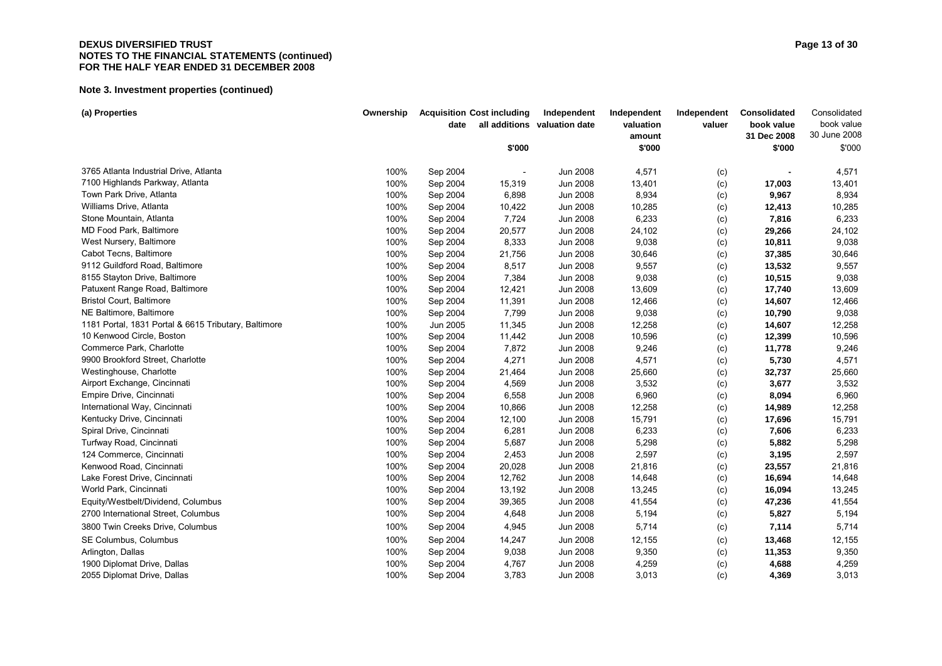#### **DEXUS DIVERSIFIED TRUST** Page 13 of 30 **NOTES TO THE FINANCIAL STATEMENTS (continued) FOR THE HALF YEAR ENDED 31 DECEMBER 2008**

| (a) Properties                                       | Ownership | date     | <b>Acquisition Cost including</b> | Independent<br>all additions valuation date | Independent<br>valuation<br>amount | Independent<br>valuer | Consolidated<br>book value<br>31 Dec 2008 | Consolidated<br>book value<br>30 June 2008 |
|------------------------------------------------------|-----------|----------|-----------------------------------|---------------------------------------------|------------------------------------|-----------------------|-------------------------------------------|--------------------------------------------|
|                                                      |           |          | \$'000                            |                                             | \$'000                             |                       | \$'000                                    | \$'000                                     |
| 3765 Atlanta Industrial Drive, Atlanta               | 100%      | Sep 2004 |                                   | <b>Jun 2008</b>                             | 4,571                              | (c)                   |                                           | 4,571                                      |
| 7100 Highlands Parkway, Atlanta                      | 100%      | Sep 2004 | 15,319                            | Jun 2008                                    | 13,401                             | (c)                   | 17,003                                    | 13,401                                     |
| Town Park Drive, Atlanta                             | 100%      | Sep 2004 | 6,898                             | <b>Jun 2008</b>                             | 8,934                              | (c)                   | 9,967                                     | 8,934                                      |
| Williams Drive, Atlanta                              | 100%      | Sep 2004 | 10,422                            | Jun 2008                                    | 10,285                             | (c)                   | 12,413                                    | 10,285                                     |
| Stone Mountain, Atlanta                              | 100%      | Sep 2004 | 7,724                             | Jun 2008                                    | 6,233                              | (c)                   | 7,816                                     | 6,233                                      |
| MD Food Park, Baltimore                              | 100%      | Sep 2004 | 20,577                            | <b>Jun 2008</b>                             | 24,102                             | (c)                   | 29,266                                    | 24,102                                     |
| West Nursery, Baltimore                              | 100%      | Sep 2004 | 8,333                             | <b>Jun 2008</b>                             | 9,038                              | (c)                   | 10,811                                    | 9,038                                      |
| Cabot Tecns, Baltimore                               | 100%      | Sep 2004 | 21,756                            | Jun 2008                                    | 30,646                             | (c)                   | 37,385                                    | 30,646                                     |
| 9112 Guildford Road, Baltimore                       | 100%      | Sep 2004 | 8,517                             | Jun 2008                                    | 9,557                              | (c)                   | 13,532                                    | 9,557                                      |
| 8155 Stayton Drive, Baltimore                        | 100%      | Sep 2004 | 7,384                             | <b>Jun 2008</b>                             | 9,038                              | (c)                   | 10,515                                    | 9,038                                      |
| Patuxent Range Road, Baltimore                       | 100%      | Sep 2004 | 12,421                            | <b>Jun 2008</b>                             | 13,609                             | (c)                   | 17,740                                    | 13,609                                     |
| <b>Bristol Court, Baltimore</b>                      | 100%      | Sep 2004 | 11,391                            | Jun 2008                                    | 12,466                             | (c)                   | 14,607                                    | 12,466                                     |
| NE Baltimore, Baltimore                              | 100%      | Sep 2004 | 7,799                             | Jun 2008                                    | 9,038                              | (c)                   | 10,790                                    | 9,038                                      |
| 1181 Portal, 1831 Portal & 6615 Tributary, Baltimore | 100%      | Jun 2005 | 11,345                            | <b>Jun 2008</b>                             | 12,258                             | (c)                   | 14,607                                    | 12,258                                     |
| 10 Kenwood Circle, Boston                            | 100%      | Sep 2004 | 11,442                            | <b>Jun 2008</b>                             | 10,596                             | (c)                   | 12,399                                    | 10,596                                     |
| Commerce Park, Charlotte                             | 100%      | Sep 2004 | 7,872                             | Jun 2008                                    | 9,246                              | (c)                   | 11,778                                    | 9,246                                      |
| 9900 Brookford Street, Charlotte                     | 100%      | Sep 2004 | 4,271                             | <b>Jun 2008</b>                             | 4,571                              | (c)                   | 5,730                                     | 4,571                                      |
| Westinghouse, Charlotte                              | 100%      | Sep 2004 | 21,464                            | <b>Jun 2008</b>                             | 25,660                             | (c)                   | 32,737                                    | 25,660                                     |
| Airport Exchange, Cincinnati                         | 100%      | Sep 2004 | 4,569                             | Jun 2008                                    | 3,532                              | (c)                   | 3,677                                     | 3,532                                      |
| Empire Drive, Cincinnati                             | 100%      | Sep 2004 | 6,558                             | Jun 2008                                    | 6,960                              | (c)                   | 8,094                                     | 6,960                                      |
| International Way, Cincinnati                        | 100%      | Sep 2004 | 10,866                            | <b>Jun 2008</b>                             | 12,258                             | (c)                   | 14,989                                    | 12,258                                     |
| Kentucky Drive, Cincinnati                           | 100%      | Sep 2004 | 12,100                            | Jun 2008                                    | 15,791                             | (c)                   | 17,696                                    | 15,791                                     |
| Spiral Drive, Cincinnati                             | 100%      | Sep 2004 | 6,281                             | Jun 2008                                    | 6,233                              | (c)                   | 7,606                                     | 6,233                                      |
| Turfway Road, Cincinnati                             | 100%      | Sep 2004 | 5,687                             | Jun 2008                                    | 5,298                              | (c)                   | 5,882                                     | 5,298                                      |
| 124 Commerce, Cincinnati                             | 100%      | Sep 2004 | 2,453                             | Jun 2008                                    | 2,597                              | (c)                   | 3,195                                     | 2,597                                      |
| Kenwood Road, Cincinnati                             | 100%      | Sep 2004 | 20,028                            | <b>Jun 2008</b>                             | 21,816                             | (c)                   | 23,557                                    | 21,816                                     |
| Lake Forest Drive, Cincinnati                        | 100%      | Sep 2004 | 12,762                            | <b>Jun 2008</b>                             | 14,648                             | (c)                   | 16,694                                    | 14,648                                     |
| World Park, Cincinnati                               | 100%      | Sep 2004 | 13,192                            | <b>Jun 2008</b>                             | 13,245                             | (c)                   | 16,094                                    | 13,245                                     |
| Equity/Westbelt/Dividend, Columbus                   | 100%      | Sep 2004 | 39,365                            | <b>Jun 2008</b>                             | 41,554                             | (c)                   | 47,236                                    | 41,554                                     |
| 2700 International Street, Columbus                  | 100%      | Sep 2004 | 4,648                             | Jun 2008                                    | 5,194                              | (c)                   | 5,827                                     | 5,194                                      |
| 3800 Twin Creeks Drive, Columbus                     | 100%      | Sep 2004 | 4,945                             | Jun 2008                                    | 5,714                              | (c)                   | 7,114                                     | 5,714                                      |
| SE Columbus, Columbus                                | 100%      | Sep 2004 | 14,247                            | <b>Jun 2008</b>                             | 12,155                             | (c)                   | 13,468                                    | 12,155                                     |
| Arlington, Dallas                                    | 100%      | Sep 2004 | 9,038                             | Jun 2008                                    | 9,350                              | (c)                   | 11,353                                    | 9,350                                      |
| 1900 Diplomat Drive, Dallas                          | 100%      | Sep 2004 | 4,767                             | <b>Jun 2008</b>                             | 4,259                              | (c)                   | 4,688                                     | 4,259                                      |
| 2055 Diplomat Drive, Dallas                          | 100%      | Sep 2004 | 3,783                             | <b>Jun 2008</b>                             | 3,013                              | (c)                   | 4,369                                     | 3,013                                      |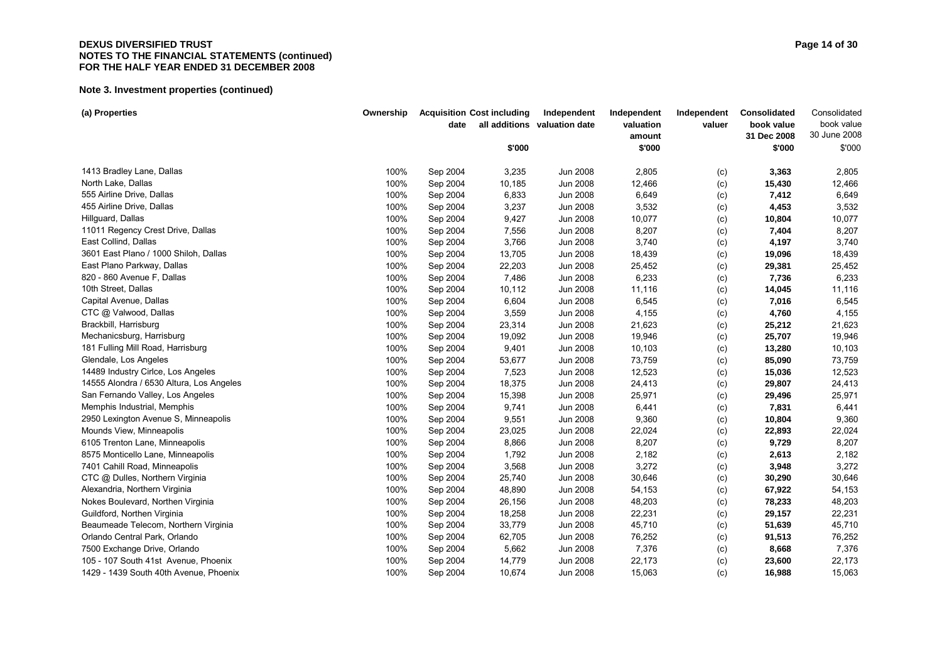#### **DEXUS DIVERSIFIED TRUST** Page 14 of 30 **NOTES TO THE FINANCIAL STATEMENTS (continued) FOR THE HALF YEAR ENDED 31 DECEMBER 2008**

| (a) Properties                           | Ownership | date     | <b>Acquisition Cost including</b> | Independent<br>all additions valuation date | Independent<br>valuation | Independent<br>valuer | Consolidated<br>book value | Consolidated<br>book value |
|------------------------------------------|-----------|----------|-----------------------------------|---------------------------------------------|--------------------------|-----------------------|----------------------------|----------------------------|
|                                          |           |          |                                   |                                             | amount                   |                       | 31 Dec 2008                | 30 June 2008               |
|                                          |           |          | \$'000                            |                                             | \$'000                   |                       | \$'000                     | \$'000                     |
| 1413 Bradley Lane, Dallas                | 100%      | Sep 2004 | 3,235                             | Jun 2008                                    | 2,805                    | (c)                   | 3,363                      | 2,805                      |
| North Lake, Dallas                       | 100%      | Sep 2004 | 10,185                            | Jun 2008                                    | 12,466                   | (c)                   | 15,430                     | 12,466                     |
| 555 Airline Drive, Dallas                | 100%      | Sep 2004 | 6,833                             | Jun 2008                                    | 6,649                    | (c)                   | 7,412                      | 6,649                      |
| 455 Airline Drive, Dallas                | 100%      | Sep 2004 | 3,237                             | Jun 2008                                    | 3,532                    | (c)                   | 4,453                      | 3,532                      |
| Hillguard, Dallas                        | 100%      | Sep 2004 | 9,427                             | Jun 2008                                    | 10,077                   | (c)                   | 10,804                     | 10,077                     |
| 11011 Regency Crest Drive, Dallas        | 100%      | Sep 2004 | 7,556                             | Jun 2008                                    | 8,207                    | (c)                   | 7,404                      | 8,207                      |
| East Collind, Dallas                     | 100%      | Sep 2004 | 3,766                             | Jun 2008                                    | 3,740                    | (c)                   | 4,197                      | 3,740                      |
| 3601 East Plano / 1000 Shiloh, Dallas    | 100%      | Sep 2004 | 13,705                            | <b>Jun 2008</b>                             | 18,439                   | (c)                   | 19,096                     | 18,439                     |
| East Plano Parkway, Dallas               | 100%      | Sep 2004 | 22,203                            | Jun 2008                                    | 25,452                   | (c)                   | 29,381                     | 25,452                     |
| 820 - 860 Avenue F, Dallas               | 100%      | Sep 2004 | 7,486                             | Jun 2008                                    | 6,233                    | (c)                   | 7,736                      | 6,233                      |
| 10th Street, Dallas                      | 100%      | Sep 2004 | 10,112                            | Jun 2008                                    | 11,116                   | (c)                   | 14,045                     | 11,116                     |
| Capital Avenue, Dallas                   | 100%      | Sep 2004 | 6,604                             | Jun 2008                                    | 6,545                    | (c)                   | 7,016                      | 6,545                      |
| CTC @ Valwood, Dallas                    | 100%      | Sep 2004 | 3,559                             | Jun 2008                                    | 4,155                    | (c)                   | 4,760                      | 4,155                      |
| Brackbill, Harrisburg                    | 100%      | Sep 2004 | 23,314                            | Jun 2008                                    | 21,623                   | (c)                   | 25,212                     | 21,623                     |
| Mechanicsburg, Harrisburg                | 100%      | Sep 2004 | 19,092                            | <b>Jun 2008</b>                             | 19,946                   | (c)                   | 25,707                     | 19,946                     |
| 181 Fulling Mill Road, Harrisburg        | 100%      | Sep 2004 | 9,401                             | Jun 2008                                    | 10,103                   | (c)                   | 13,280                     | 10,103                     |
| Glendale, Los Angeles                    | 100%      | Sep 2004 | 53,677                            | Jun 2008                                    | 73,759                   | (c)                   | 85,090                     | 73,759                     |
| 14489 Industry Cirlce, Los Angeles       | 100%      | Sep 2004 | 7,523                             | Jun 2008                                    | 12,523                   | (c)                   | 15,036                     | 12,523                     |
| 14555 Alondra / 6530 Altura, Los Angeles | 100%      | Sep 2004 | 18,375                            | Jun 2008                                    | 24,413                   | (c)                   | 29,807                     | 24,413                     |
| San Fernando Valley, Los Angeles         | 100%      | Sep 2004 | 15,398                            | Jun 2008                                    | 25,971                   | (c)                   | 29,496                     | 25,971                     |
| Memphis Industrial, Memphis              | 100%      | Sep 2004 | 9,741                             | Jun 2008                                    | 6,441                    | (c)                   | 7,831                      | 6,441                      |
| 2950 Lexington Avenue S, Minneapolis     | 100%      | Sep 2004 | 9,551                             | Jun 2008                                    | 9,360                    | (c)                   | 10,804                     | 9,360                      |
| Mounds View, Minneapolis                 | 100%      | Sep 2004 | 23,025                            | <b>Jun 2008</b>                             | 22,024                   | (c)                   | 22,893                     | 22,024                     |
| 6105 Trenton Lane, Minneapolis           | 100%      | Sep 2004 | 8,866                             | Jun 2008                                    | 8,207                    | (c)                   | 9,729                      | 8,207                      |
| 8575 Monticello Lane, Minneapolis        | 100%      | Sep 2004 | 1,792                             | Jun 2008                                    | 2,182                    | (c)                   | 2,613                      | 2,182                      |
| 7401 Cahill Road, Minneapolis            | 100%      | Sep 2004 | 3,568                             | Jun 2008                                    | 3,272                    | (c)                   | 3,948                      | 3,272                      |
| CTC @ Dulles, Northern Virginia          | 100%      | Sep 2004 | 25,740                            | <b>Jun 2008</b>                             | 30,646                   | (c)                   | 30,290                     | 30,646                     |
| Alexandria, Northern Virginia            | 100%      | Sep 2004 | 48,890                            | <b>Jun 2008</b>                             | 54,153                   | (c)                   | 67,922                     | 54,153                     |
| Nokes Boulevard, Northen Virginia        | 100%      | Sep 2004 | 26,156                            | <b>Jun 2008</b>                             | 48,203                   | (c)                   | 78,233                     | 48,203                     |
| Guildford, Northen Virginia              | 100%      | Sep 2004 | 18,258                            | <b>Jun 2008</b>                             | 22,231                   | (c)                   | 29,157                     | 22,231                     |
| Beaumeade Telecom, Northern Virginia     | 100%      | Sep 2004 | 33,779                            | Jun 2008                                    | 45,710                   | (c)                   | 51,639                     | 45,710                     |
| Orlando Central Park, Orlando            | 100%      | Sep 2004 | 62,705                            | <b>Jun 2008</b>                             | 76,252                   | (c)                   | 91,513                     | 76,252                     |
| 7500 Exchange Drive, Orlando             | 100%      | Sep 2004 | 5,662                             | Jun 2008                                    | 7,376                    | (c)                   | 8,668                      | 7,376                      |
| 105 - 107 South 41st Avenue, Phoenix     | 100%      | Sep 2004 | 14,779                            | <b>Jun 2008</b>                             | 22,173                   | (c)                   | 23,600                     | 22,173                     |
| 1429 - 1439 South 40th Avenue, Phoenix   | 100%      | Sep 2004 | 10,674                            | <b>Jun 2008</b>                             | 15,063                   | (c)                   | 16,988                     | 15,063                     |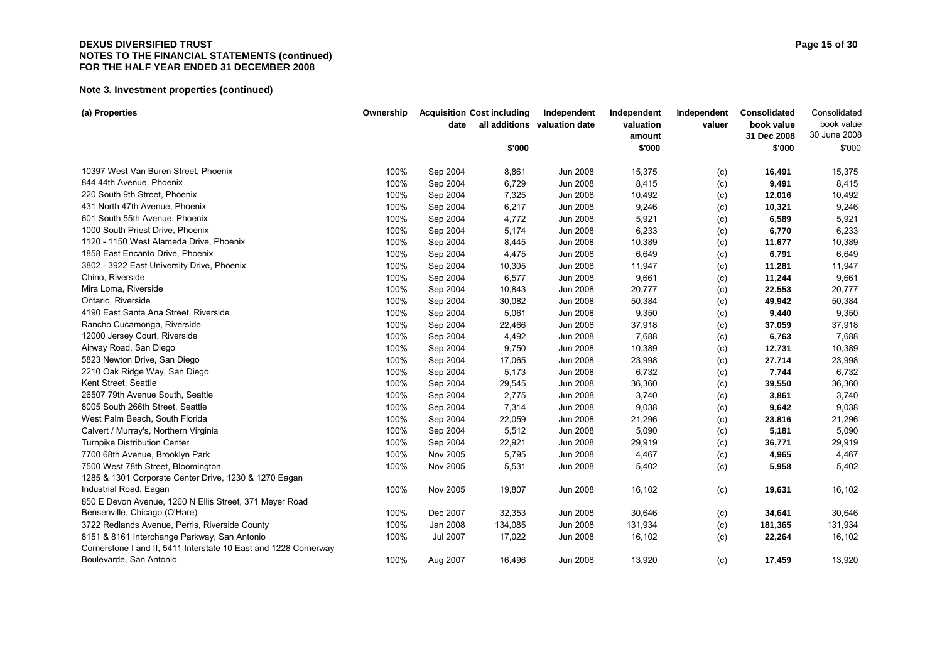#### **DEXUS DIVERSIFIED TRUST** Page 15 of 30 **NOTES TO THE FINANCIAL STATEMENTS (continued) FOR THE HALF YEAR ENDED 31 DECEMBER 2008**

| all additions valuation date<br>valuation<br>book value<br>date<br>valuer                                                     | book value   |
|-------------------------------------------------------------------------------------------------------------------------------|--------------|
| 31 Dec 2008<br>amount                                                                                                         | 30 June 2008 |
| \$'000<br>\$'000<br>\$'000                                                                                                    | \$'000       |
| 10397 West Van Buren Street, Phoenix<br>100%<br>Sep 2004<br>Jun 2008<br>15,375<br>8,861<br>16,491<br>(c)                      | 15,375       |
| 844 44th Avenue, Phoenix<br>100%<br>6,729<br>Jun 2008<br>8,415<br>Sep 2004<br>9,491<br>(c)                                    | 8,415        |
| 220 South 9th Street, Phoenix<br>100%<br>Jun 2008<br>10,492<br>Sep 2004<br>7,325<br>12,016<br>(c)                             | 10,492       |
| 431 North 47th Avenue, Phoenix<br>100%<br>Sep 2004<br>6,217<br>Jun 2008<br>9,246<br>10,321<br>(c)                             | 9,246        |
| 601 South 55th Avenue, Phoenix<br>100%<br>Sep 2004<br>4,772<br>Jun 2008<br>5,921<br>6,589<br>(c)                              | 5,921        |
| 1000 South Priest Drive, Phoenix<br>100%<br>5,174<br>Jun 2008<br>6,233<br>Sep 2004<br>6,770<br>(c)                            | 6,233        |
| 1120 - 1150 West Alameda Drive, Phoenix<br>100%<br>Sep 2004<br><b>Jun 2008</b><br>10,389<br>8,445<br>11,677<br>(c)            | 10,389       |
| 1858 East Encanto Drive, Phoenix<br>100%<br>4,475<br>6,649<br>Sep 2004<br>Jun 2008<br>6,791<br>(c)                            | 6,649        |
| 3802 - 3922 East University Drive, Phoenix<br>100%<br>Sep 2004<br>10,305<br><b>Jun 2008</b><br>11,947<br>11,281<br>(c)        | 11,947       |
| Chino, Riverside<br>100%<br>6,577<br>9,661<br>Sep 2004<br>Jun 2008<br>(c)<br>11,244                                           | 9,661        |
| Mira Loma, Riverside<br>100%<br>10,843<br><b>Jun 2008</b><br>20,777<br>Sep 2004<br>(c)<br>22,553                              | 20,777       |
| Ontario, Riverside<br>100%<br><b>Jun 2008</b><br>50,384<br>Sep 2004<br>30,082<br>49,942<br>(c)                                | 50,384       |
| 4190 East Santa Ana Street, Riverside<br>100%<br>9,350<br>Sep 2004<br>5,061<br>Jun 2008<br>(c)<br>9,440                       | 9,350        |
| Rancho Cucamonga, Riverside<br>100%<br><b>Jun 2008</b><br>Sep 2004<br>22,466<br>37,918<br>37,059<br>(c)                       | 37,918       |
| 12000 Jersey Court, Riverside<br>100%<br>Jun 2008<br>7,688<br>Sep 2004<br>4,492<br>6,763<br>(c)                               | 7,688        |
| Airway Road, San Diego<br>100%<br>9,750<br>10,389<br>Sep 2004<br>Jun 2008<br>12,731<br>(c)                                    | 10,389       |
| 5823 Newton Drive, San Diego<br>100%<br><b>Jun 2008</b><br>23,998<br>Sep 2004<br>17,065<br>27,714<br>(c)                      | 23,998       |
| 2210 Oak Ridge Way, San Diego<br>100%<br>5,173<br>Jun 2008<br>6,732<br>Sep 2004<br>7,744<br>(c)                               | 6,732        |
| Kent Street, Seattle<br>100%<br>Sep 2004<br>29,545<br><b>Jun 2008</b><br>36,360<br>39,550<br>(c)                              | 36,360       |
| 2,775<br>3,740<br>26507 79th Avenue South, Seattle<br>100%<br>Jun 2008<br>Sep 2004<br>3,861<br>(c)                            | 3,740        |
| 8005 South 266th Street, Seattle<br>7,314<br>9,038<br>100%<br>Sep 2004<br>Jun 2008<br>9,642<br>(c)                            | 9,038        |
| West Palm Beach, South Florida<br>100%<br>22,059<br><b>Jun 2008</b><br>Sep 2004<br>21,296<br>(c)<br>23,816                    | 21,296       |
| 100%<br>5,512<br>Jun 2008<br>5,090<br>Calvert / Murray's, Northern Virginia<br>Sep 2004<br>5,181<br>(c)                       | 5,090        |
| 100%<br>22,921<br><b>Jun 2008</b><br>29,919<br><b>Turnpike Distribution Center</b><br>Sep 2004<br>(c)<br>36,771               | 29,919       |
| 100%<br>Nov 2005<br>5,795<br>Jun 2008<br>4,467<br>7700 68th Avenue, Brooklyn Park<br>(c)<br>4,965                             | 4,467        |
| 100%<br>Nov 2005<br>5,531<br>Jun 2008<br>5,402<br>7500 West 78th Street, Bloomington<br>(c)<br>5,958                          | 5,402        |
| 1285 & 1301 Corporate Center Drive, 1230 & 1270 Eagan                                                                         |              |
| Industrial Road, Eagan<br>100%<br>Nov 2005<br>19,807<br>Jun 2008<br>16,102<br>19,631<br>(c)                                   | 16,102       |
| 850 E Devon Avenue, 1260 N Ellis Street, 371 Meyer Road                                                                       |              |
| Bensenville, Chicago (O'Hare)<br>Dec 2007<br>100%<br>32,353<br>Jun 2008<br>30,646<br>34,641<br>(c)                            | 30,646       |
| Jan 2008<br>131,934<br>3722 Redlands Avenue, Perris, Riverside County<br>100%<br>134,085<br><b>Jun 2008</b><br>181,365<br>(c) | 131,934      |
| 8151 & 8161 Interchange Parkway, San Antonio<br>100%<br><b>Jul 2007</b><br>16,102<br>17,022<br>Jun 2008<br>22,264<br>(c)      | 16,102       |
| Cornerstone I and II, 5411 Interstate 10 East and 1228 Cornerway                                                              |              |
| Boulevarde, San Antonio<br>100%<br>16,496<br><b>Jun 2008</b><br>13,920<br>Aug 2007<br>17,459<br>(c)                           | 13,920       |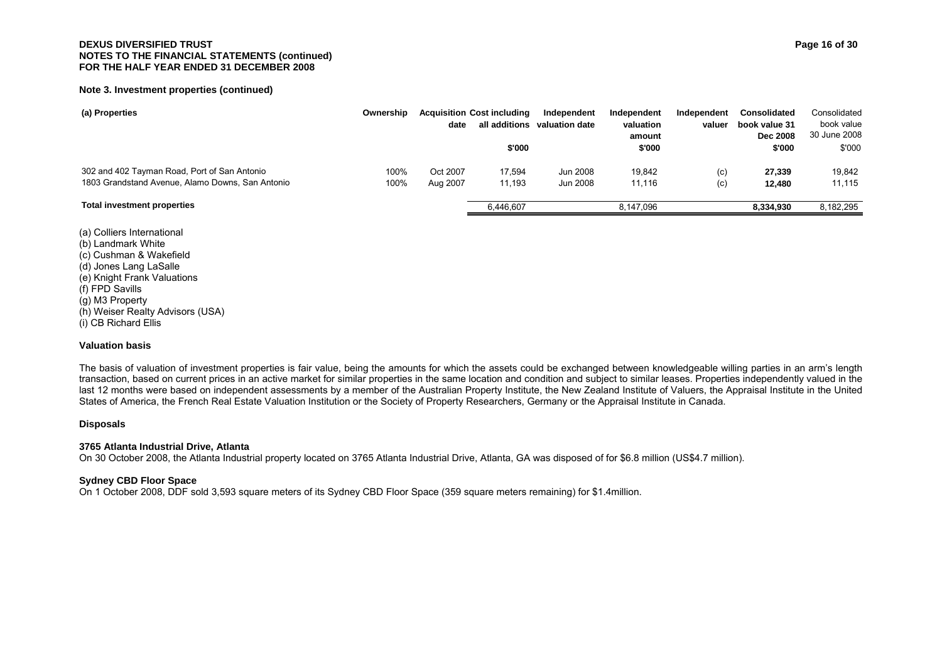#### **Note 3. Investment properties (continued)**

| (a) Properties                                   | Ownership | date     | <b>Acquisition Cost including</b><br>all additions | Independent<br>valuation date | Independent<br>valuation<br>amount | Independent<br>valuer | <b>Consolidated</b><br>book value 31<br><b>Dec 2008</b> | Consolidated<br>book value<br>30 June 2008 |
|--------------------------------------------------|-----------|----------|----------------------------------------------------|-------------------------------|------------------------------------|-----------------------|---------------------------------------------------------|--------------------------------------------|
|                                                  |           |          | \$'000                                             |                               | \$'000                             |                       | \$'000                                                  | \$'000                                     |
| 302 and 402 Tayman Road, Port of San Antonio     | 100%      | Oct 2007 | 17.594                                             | Jun 2008                      | 19.842                             | (c)                   | 27,339                                                  | 19,842                                     |
| 1803 Grandstand Avenue, Alamo Downs, San Antonio | 100%      | Aug 2007 | 11,193                                             | Jun 2008                      | 11.116                             | (c)                   | 12,480                                                  | 11,115                                     |
| <b>Total investment properties</b>               |           |          | 6,446,607                                          |                               | 8.147.096                          |                       | 8.334.930                                               | 8,182,295                                  |

(a) Colliers International (b) Landmark White (c) Cushman & Wakefield (d) Jones Lang LaSalle (e) Knight Frank Valuations (f) FPD Savills (g) M3 Property (h) Weiser Realty Advisors (USA) (i) CB Richard Ellis

#### **Valuation basis**

The basis of valuation of investment properties is fair value, being the amounts for which the assets could be exchanged between knowledgeable willing parties in an arm's length transaction, based on current prices in an active market for similar properties in the same location and condition and subject to similar leases. Properties independently valued in the last 12 months were based on independent assessments by a member of the Australian Property Institute, the New Zealand Institute of Valuers, the Appraisal Institute in the United States of America, the French Real Estate Valuation Institution or the Society of Property Researchers, Germany or the Appraisal Institute in Canada.

#### **Disposals**

#### **3765 Atlanta Industrial Drive, Atlanta**

On 30 October 2008, the Atlanta Industrial property located on 3765 Atlanta Industrial Drive, Atlanta, GA was disposed of for \$6.8 million (US\$4.7 million).

#### **Sydney CBD Floor Space**

On 1 October 2008, DDF sold 3,593 square meters of its Sydney CBD Floor Space (359 square meters remaining) for \$1.4million.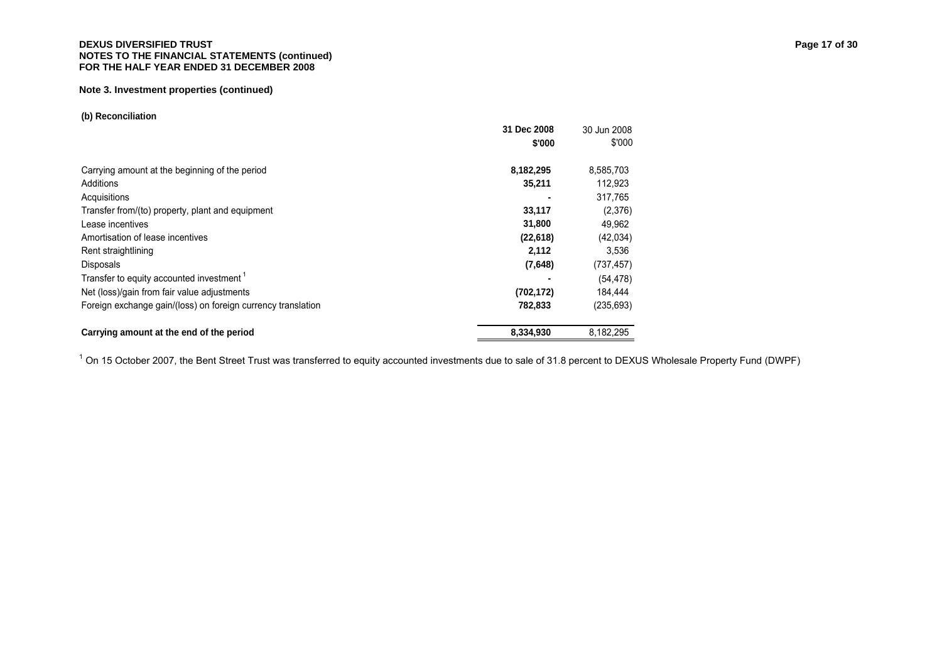#### **DEXUS DIVERSIFIED TRUST** Page 17 of 30 **NOTES TO THE FINANCIAL STATEMENTS (continued) FOR THE HALF YEAR ENDED 31 DECEMBER 2008**

#### **Note 3. Investment properties (continued)**

#### **(b) Reconciliation**

|                                                              | 31 Dec 2008 | 30 Jun 2008 |
|--------------------------------------------------------------|-------------|-------------|
|                                                              | \$'000      | \$'000      |
| Carrying amount at the beginning of the period               | 8,182,295   | 8,585,703   |
| Additions                                                    | 35,211      | 112,923     |
| Acquisitions                                                 |             | 317.765     |
| Transfer from/(to) property, plant and equipment             | 33,117      | (2,376)     |
| Lease incentives                                             | 31,800      | 49,962      |
| Amortisation of lease incentives                             | (22, 618)   | (42,034)    |
| Rent straightlining                                          | 2,112       | 3,536       |
| <b>Disposals</b>                                             | (7,648)     | (737, 457)  |
| Transfer to equity accounted investment <sup>1</sup>         |             | (54, 478)   |
| Net (loss)/gain from fair value adjustments                  | (702, 172)  | 184.444     |
| Foreign exchange gain/(loss) on foreign currency translation | 782,833     | (235, 693)  |
| Carrying amount at the end of the period                     | 8,334,930   | 8.182.295   |

 $10$  On 15 October 2007, the Bent Street Trust was transferred to equity accounted investments due to sale of 31.8 percent to DEXUS Wholesale Property Fund (DWPF)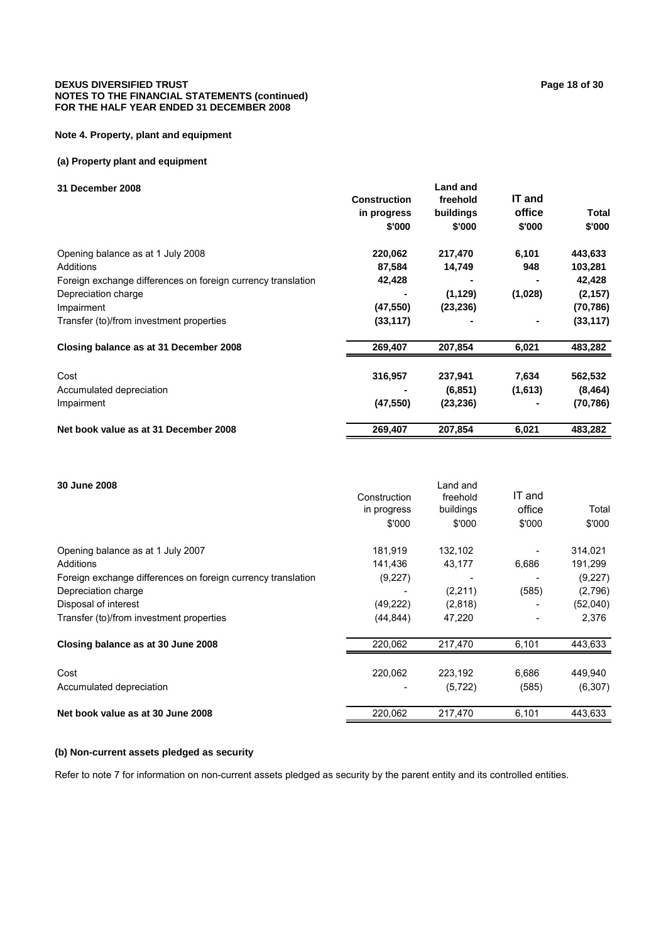#### **DEXUS DIVERSIFIED TRUST PAGE 20 PAGE 20 PAGE 20 PAGE 20 PAGE 20 PAGE 20 PAGE 20 PAGE 20 PAGE 20 PAGE 20 PAGE 20 PAGE 20 PAGE 20 PAGE 20 PAGE 20 PAGE 20 PAGE 20 PAGE 20 PAGE 20 PAGE 20 PAGE 20 PAGE 20 PAGE 20 PAGE 20 PAGE NOTES TO THE FINANCIAL STATEMENTS (continued) FOR THE HALF YEAR ENDED 31 DECEMBER 2008**

#### **Note 4. Property, plant and equipment**

#### **(a) Property plant and equipment**

#### **31 December 2008**

|                                                              | <b>Construction</b><br>in progress<br>\$'000 | freehold<br>buildings<br>\$'000 | IT and<br>office<br>\$'000 | Total<br>\$'000 |
|--------------------------------------------------------------|----------------------------------------------|---------------------------------|----------------------------|-----------------|
| Opening balance as at 1 July 2008                            | 220,062                                      | 217,470                         | 6,101                      | 443,633         |
| Additions                                                    | 87,584                                       | 14,749                          | 948                        | 103,281         |
| Foreign exchange differences on foreign currency translation | 42,428                                       |                                 |                            | 42,428          |
| Depreciation charge                                          |                                              | (1, 129)                        | (1,028)                    | (2, 157)        |
| Impairment                                                   | (47, 550)                                    | (23, 236)                       |                            | (70, 786)       |
| Transfer (to)/from investment properties                     | (33, 117)                                    |                                 |                            | (33, 117)       |
| Closing balance as at 31 December 2008                       | 269,407                                      | 207,854                         | 6,021                      | 483,282         |
| Cost                                                         | 316,957                                      | 237,941                         | 7,634                      | 562,532         |
| Accumulated depreciation                                     |                                              | (6, 851)                        | (1,613)                    | (8, 464)        |
| Impairment                                                   | (47, 550)                                    | (23, 236)                       |                            | (70,786)        |
| Net book value as at 31 December 2008                        | 269,407                                      | 207.854                         | 6,021                      | 483,282         |

| 30 June 2008                                                 | Construction<br>in progress<br>\$'000 | Land and<br>freehold<br>buildings<br>\$'000 | IT and<br>office<br>\$'000 | Total<br>\$'000 |
|--------------------------------------------------------------|---------------------------------------|---------------------------------------------|----------------------------|-----------------|
| Opening balance as at 1 July 2007                            | 181,919                               | 132,102                                     |                            | 314,021         |
| Additions                                                    | 141.436                               | 43,177                                      | 6,686                      | 191,299         |
| Foreign exchange differences on foreign currency translation | (9,227)                               |                                             |                            | (9,227)         |
| Depreciation charge                                          |                                       | (2,211)                                     | (585)                      | (2,796)         |
| Disposal of interest                                         | (49, 222)                             | (2,818)                                     |                            | (52,040)        |
| Transfer (to)/from investment properties                     | (44, 844)                             | 47,220                                      |                            | 2,376           |
| Closing balance as at 30 June 2008                           | 220,062                               | 217,470                                     | 6,101                      | 443,633         |
|                                                              |                                       |                                             |                            |                 |
| Cost                                                         | 220,062                               | 223.192                                     | 6,686                      | 449,940         |
| Accumulated depreciation                                     |                                       | (5, 722)                                    | (585)                      | (6, 307)        |
| Net book value as at 30 June 2008                            | 220,062                               | 217,470                                     | 6,101                      | 443,633         |

# **(b) Non-current assets pledged as security**

Refer to note 7 for information on non-current assets pledged as security by the parent entity and its controlled entities.

**Land and**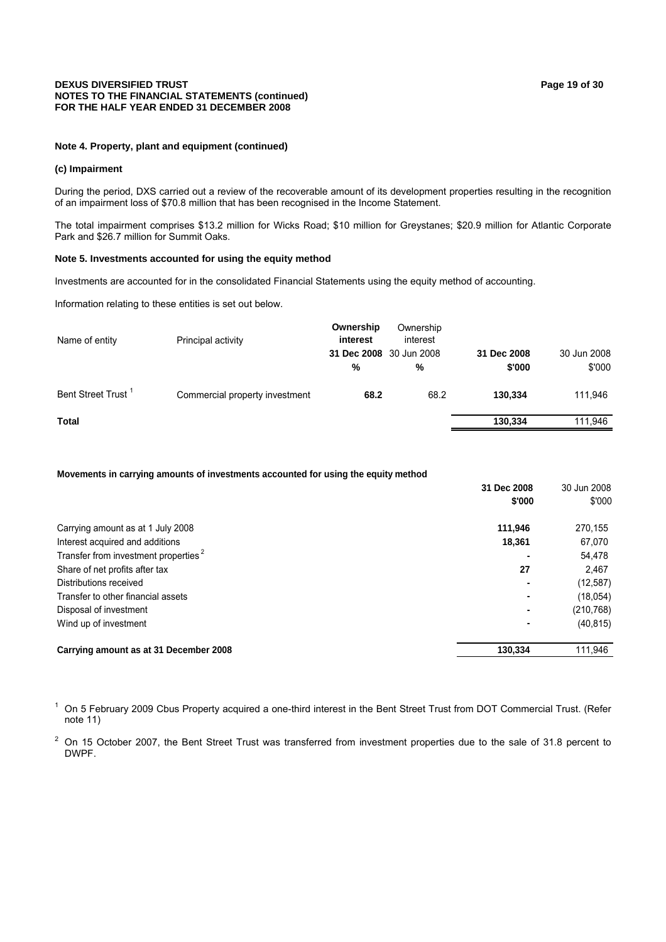#### **DEXUS DIVERSIFIED TRUST PAGE 19 OF 20 ACCUST PAGE 19 OF 30 ACCUST PAGE 19 OF 30 ACCUST NOTES TO THE FINANCIAL STATEMENTS (continued) FOR THE HALF YEAR ENDED 31 DECEMBER 2008**

#### **Note 4. Property, plant and equipment (continued)**

#### **(c) Impairment**

During the period, DXS carried out a review of the recoverable amount of its development properties resulting in the recognition of an impairment loss of \$70.8 million that has been recognised in the Income Statement.

The total impairment comprises \$13.2 million for Wicks Road; \$10 million for Greystanes; \$20.9 million for Atlantic Corporate Park and \$26.7 million for Summit Oaks.

#### **Note 5. Investments accounted for using the equity method**

Investments are accounted for in the consolidated Financial Statements using the equity method of accounting.

Information relating to these entities is set out below.

| Principal activity             | Ownership<br>interest | Ownership<br>interest | 31 Dec 2008             | 30 Jun 2008 |
|--------------------------------|-----------------------|-----------------------|-------------------------|-------------|
|                                | %                     | %                     | \$'000                  | \$'000      |
| Commercial property investment | 68.2                  | 68.2                  | 130.334                 | 111,946     |
|                                |                       |                       | 130.334                 | 111,946     |
|                                |                       |                       | 31 Dec 2008 30 Jun 2008 |             |

#### **Movements in carrying amounts of investments accounted for using the equity method**

|                                                  | 31 Dec 2008<br>\$'000 | 30 Jun 2008<br>\$'000 |
|--------------------------------------------------|-----------------------|-----------------------|
| Carrying amount as at 1 July 2008                | 111.946               | 270.155               |
| Interest acquired and additions                  | 18,361                | 67,070                |
| Transfer from investment properties <sup>2</sup> |                       | 54,478                |
| Share of net profits after tax                   | 27                    | 2.467                 |
| Distributions received                           |                       | (12, 587)             |
| Transfer to other financial assets               |                       | (18,054)              |
| Disposal of investment                           |                       | (210, 768)            |
| Wind up of investment                            |                       | (40, 815)             |
| Carrying amount as at 31 December 2008           | 130,334               | 111,946               |

<sup>1</sup> On 5 February 2009 Cbus Property acquired a one-third interest in the Bent Street Trust from DOT Commercial Trust. (Refer note 11)

 $2$  On 15 October 2007, the Bent Street Trust was transferred from investment properties due to the sale of 31.8 percent to DWPF.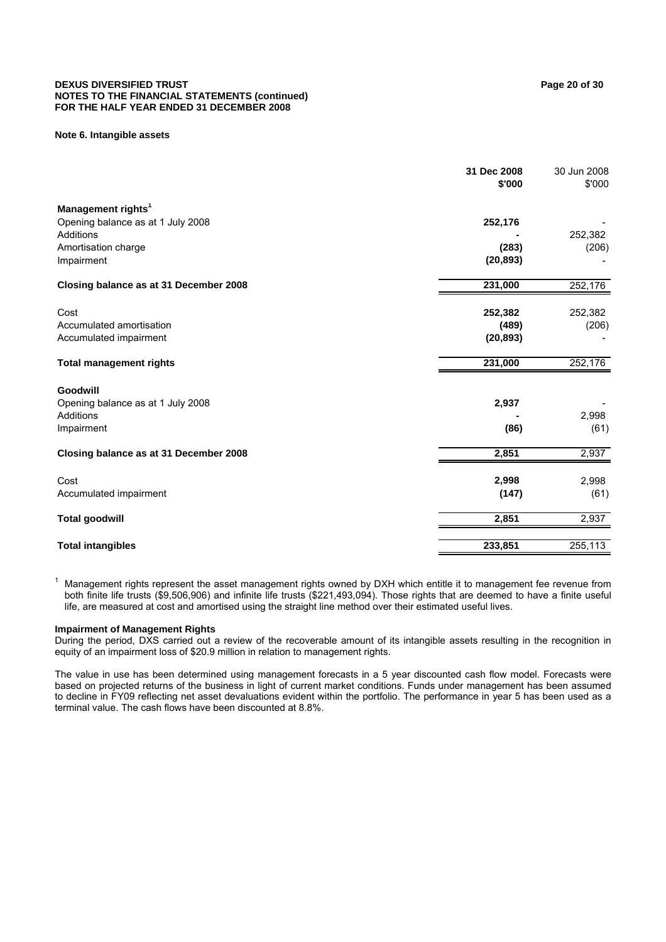#### **DEXUS DIVERSIFIED TRUST PAGE 20 of 30 Page 20 of 30 Page 20 of 30 Page 20 of 30 Page 20 of 30 Page 20 of 30 Page 20 of 30 Page 20 of 30 Page 20 of 30 Page 20 of 30 Page 20 of 30 Page 20 of 30 Page 20 of 30 Page 20 of 30 P NOTES TO THE FINANCIAL STATEMENTS (continued) FOR THE HALF YEAR ENDED 31 DECEMBER 2008**

#### **Note 6. Intangible assets**

|                                        | 31 Dec 2008<br>\$'000 | 30 Jun 2008<br>\$'000 |
|----------------------------------------|-----------------------|-----------------------|
| Management rights <sup>1</sup>         |                       |                       |
| Opening balance as at 1 July 2008      | 252,176               |                       |
| <b>Additions</b>                       |                       | 252,382               |
| Amortisation charge                    | (283)                 | (206)                 |
| Impairment                             | (20, 893)             |                       |
| Closing balance as at 31 December 2008 | 231,000               | 252,176               |
| Cost                                   | 252,382               | 252,382               |
| Accumulated amortisation               | (489)                 | (206)                 |
| Accumulated impairment                 | (20, 893)             |                       |
| <b>Total management rights</b>         | 231,000               | 252,176               |
| Goodwill                               |                       |                       |
| Opening balance as at 1 July 2008      | 2,937                 |                       |
| Additions                              |                       | 2,998                 |
| Impairment                             | (86)                  | (61)                  |
| Closing balance as at 31 December 2008 | 2,851                 | 2,937                 |
| Cost                                   | 2,998                 | 2,998                 |
| Accumulated impairment                 | (147)                 | (61)                  |
| <b>Total goodwill</b>                  | 2,851                 | 2,937                 |
| <b>Total intangibles</b>               | 233,851               | 255,113               |

1 Management rights represent the asset management rights owned by DXH which entitle it to management fee revenue from both finite life trusts (\$9,506,906) and infinite life trusts (\$221,493,094). Those rights that are deemed to have a finite useful life, are measured at cost and amortised using the straight line method over their estimated useful lives.

#### **Impairment of Management Rights**

During the period, DXS carried out a review of the recoverable amount of its intangible assets resulting in the recognition in equity of an impairment loss of \$20.9 million in relation to management rights.

The value in use has been determined using management forecasts in a 5 year discounted cash flow model. Forecasts were based on projected returns of the business in light of current market conditions. Funds under management has been assumed to decline in FY09 reflecting net asset devaluations evident within the portfolio. The performance in year 5 has been used as a terminal value. The cash flows have been discounted at 8.8%.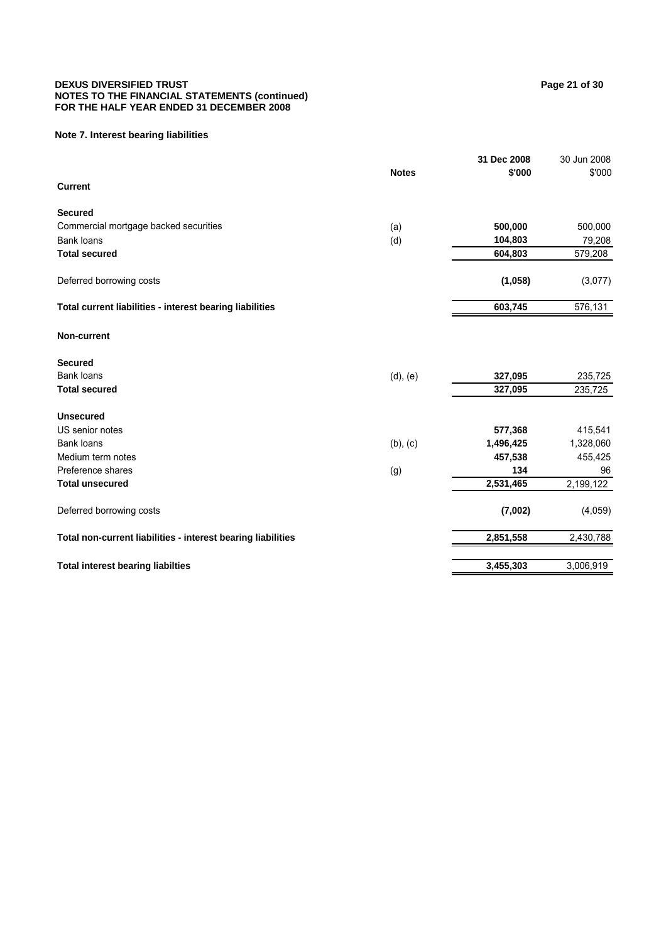#### **DEXUS DIVERSIFIED TRUST Page 21 of 30 NOTES TO THE FINANCIAL STATEMENTS (continued) FOR THE HALF YEAR ENDED 31 DECEMBER 2008**

#### **Note 7. Interest bearing liabilities**

|                                                              |               | 31 Dec 2008 | 30 Jun 2008 |
|--------------------------------------------------------------|---------------|-------------|-------------|
|                                                              | <b>Notes</b>  | \$'000      | \$'000      |
| <b>Current</b>                                               |               |             |             |
| <b>Secured</b>                                               |               |             |             |
| Commercial mortgage backed securities                        | (a)           | 500,000     | 500,000     |
| <b>Bank loans</b>                                            | (d)           | 104,803     | 79,208      |
| <b>Total secured</b>                                         |               | 604,803     | 579,208     |
| Deferred borrowing costs                                     |               | (1,058)     | (3,077)     |
| Total current liabilities - interest bearing liabilities     |               | 603,745     | 576,131     |
| <b>Non-current</b>                                           |               |             |             |
| <b>Secured</b>                                               |               |             |             |
| <b>Bank loans</b>                                            | (d), (e)      | 327,095     | 235,725     |
| <b>Total secured</b>                                         |               | 327,095     | 235,725     |
| <b>Unsecured</b>                                             |               |             |             |
| US senior notes                                              |               | 577,368     | 415,541     |
| <b>Bank loans</b>                                            | $(b)$ , $(c)$ | 1,496,425   | 1,328,060   |
| Medium term notes                                            |               | 457,538     | 455,425     |
| Preference shares                                            | (g)           | 134         | 96          |
| <b>Total unsecured</b>                                       |               | 2,531,465   | 2,199,122   |
| Deferred borrowing costs                                     |               | (7,002)     | (4,059)     |
| Total non-current liabilities - interest bearing liabilities |               | 2,851,558   | 2,430,788   |
| <b>Total interest bearing liabilties</b>                     |               | 3,455,303   | 3,006,919   |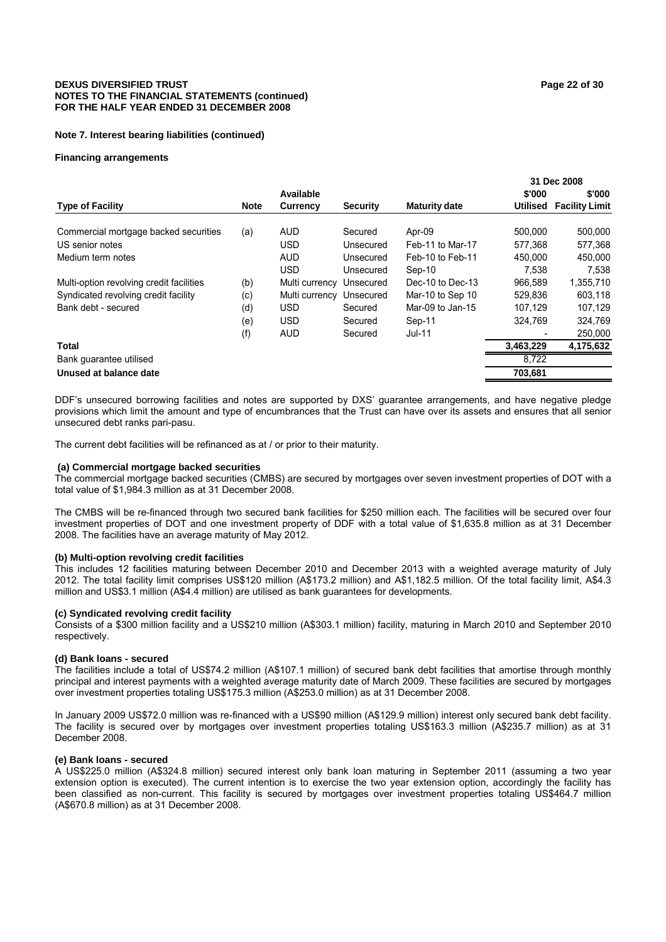#### **DEXUS DIVERSIFIED TRUST Page 22 of 30 NOTES TO THE FINANCIAL STATEMENTS (continued) FOR THE HALF YEAR ENDED 31 DECEMBER 2008**

#### **Note 7. Interest bearing liabilities (continued)**

#### **Financing arrangements**

|                                          |             |                |                 |                      |           | 31 Dec 2008           |
|------------------------------------------|-------------|----------------|-----------------|----------------------|-----------|-----------------------|
|                                          |             | Available      |                 |                      | \$'000    | \$'000                |
| <b>Type of Facility</b>                  | <b>Note</b> | Currency       | <b>Security</b> | <b>Maturity date</b> | Utilised  | <b>Facility Limit</b> |
| Commercial mortgage backed securities    | (a)         | <b>AUD</b>     | Secured         | Apr-09               | 500,000   | 500,000               |
| US senior notes                          |             | <b>USD</b>     | Unsecured       | Feb-11 to Mar-17     | 577.368   | 577,368               |
| Medium term notes                        |             | <b>AUD</b>     | Unsecured       | Feb-10 to Feb-11     | 450,000   | 450,000               |
|                                          |             | <b>USD</b>     | Unsecured       | Sep-10               | 7.538     | 7.538                 |
| Multi-option revolving credit facilities | (b)         | Multi currency | Unsecured       | Dec-10 to Dec-13     | 966.589   | 1,355,710             |
| Syndicated revolving credit facility     | (c)         | Multi currency | Unsecured       | Mar-10 to Sep 10     | 529,836   | 603,118               |
| Bank debt - secured                      | (d)         | <b>USD</b>     | Secured         | Mar-09 to Jan-15     | 107.129   | 107,129               |
|                                          | (e)         | <b>USD</b>     | Secured         | Sep-11               | 324.769   | 324,769               |
|                                          | (f)         | <b>AUD</b>     | Secured         | Jul-11               |           | 250,000               |
| <b>Total</b>                             |             |                |                 |                      | 3,463,229 | 4,175,632             |
| Bank quarantee utilised                  |             |                |                 |                      | 8.722     |                       |
| Unused at balance date                   |             |                |                 |                      | 703,681   |                       |

DDF's unsecured borrowing facilities and notes are supported by DXS' guarantee arrangements, and have negative pledge provisions which limit the amount and type of encumbrances that the Trust can have over its assets and ensures that all senior unsecured debt ranks pari-pasu.

The current debt facilities will be refinanced as at / or prior to their maturity.

#### **(a) Commercial mortgage backed securities**

The commercial mortgage backed securities (CMBS) are secured by mortgages over seven investment properties of DOT with a total value of \$1,984.3 million as at 31 December 2008.

The CMBS will be re-financed through two secured bank facilities for \$250 million each. The facilities will be secured over four investment properties of DOT and one investment property of DDF with a total value of \$1,635.8 million as at 31 December 2008. The facilities have an average maturity of May 2012.

#### **(b) Multi-option revolving credit facilities**

This includes 12 facilities maturing between December 2010 and December 2013 with a weighted average maturity of July 2012. The total facility limit comprises US\$120 million (A\$173.2 million) and A\$1,182.5 million. Of the total facility limit, A\$4.3 million and US\$3.1 million (A\$4.4 million) are utilised as bank guarantees for developments.

#### **(c) Syndicated revolving credit facility**

Consists of a \$300 million facility and a US\$210 million (A\$303.1 million) facility, maturing in March 2010 and September 2010 respectively.

#### **(d) Bank loans - secured**

The facilities include a total of US\$74.2 million (A\$107.1 million) of secured bank debt facilities that amortise through monthly principal and interest payments with a weighted average maturity date of March 2009. These facilities are secured by mortgages over investment properties totaling US\$175.3 million (A\$253.0 million) as at 31 December 2008.

In January 2009 US\$72.0 million was re-financed with a US\$90 million (A\$129.9 million) interest only secured bank debt facility. The facility is secured over by mortgages over investment properties totaling US\$163.3 million (A\$235.7 million) as at 31 December 2008.

#### **(e) Bank loans - secured**

A US\$225.0 million (A\$324.8 million) secured interest only bank loan maturing in September 2011 (assuming a two year extension option is executed). The current intention is to exercise the two year extension option, accordingly the facility has been classified as non-current. This facility is secured by mortgages over investment properties totaling US\$464.7 million (A\$670.8 million) as at 31 December 2008.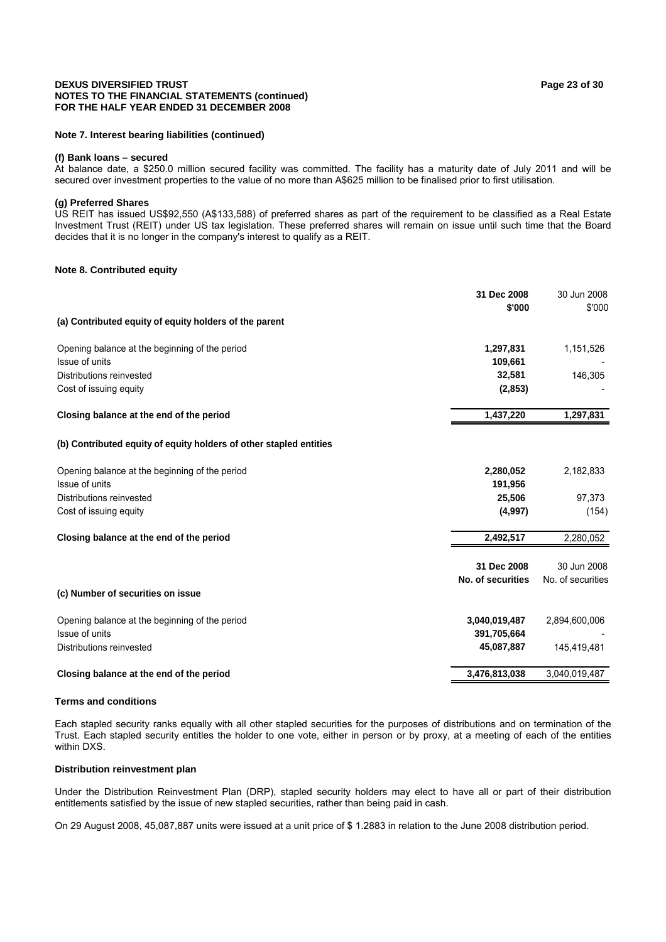#### **DEXUS DIVERSIFIED TRUST Page 23 of 30 NOTES TO THE FINANCIAL STATEMENTS (continued) FOR THE HALF YEAR ENDED 31 DECEMBER 2008**

#### **Note 7. Interest bearing liabilities (continued)**

#### **(f) Bank loans – secured**

At balance date, a \$250.0 million secured facility was committed. The facility has a maturity date of July 2011 and will be secured over investment properties to the value of no more than A\$625 million to be finalised prior to first utilisation.

#### **(g) Preferred Shares**

US REIT has issued US\$92,550 (A\$133,588) of preferred shares as part of the requirement to be classified as a Real Estate Investment Trust (REIT) under US tax legislation. These preferred shares will remain on issue until such time that the Board decides that it is no longer in the company's interest to qualify as a REIT.

#### **Note 8. Contributed equity**

|                                                                    | 31 Dec 2008<br>\$'000 | 30 Jun 2008<br>\$'000 |
|--------------------------------------------------------------------|-----------------------|-----------------------|
| (a) Contributed equity of equity holders of the parent             |                       |                       |
| Opening balance at the beginning of the period                     | 1,297,831             | 1,151,526             |
| Issue of units                                                     | 109,661               |                       |
| Distributions reinvested                                           | 32,581                | 146,305               |
| Cost of issuing equity                                             | (2,853)               |                       |
| Closing balance at the end of the period                           | 1,437,220             | 1,297,831             |
| (b) Contributed equity of equity holders of other stapled entities |                       |                       |
| Opening balance at the beginning of the period                     | 2,280,052             | 2,182,833             |
| Issue of units                                                     | 191,956               |                       |
| Distributions reinvested                                           | 25,506                | 97,373                |
| Cost of issuing equity                                             | (4,997)               | (154)                 |
| Closing balance at the end of the period                           | 2,492,517             | 2,280,052             |
|                                                                    | 31 Dec 2008           | 30 Jun 2008           |
|                                                                    | No. of securities     | No. of securities     |
| (c) Number of securities on issue                                  |                       |                       |
| Opening balance at the beginning of the period                     | 3,040,019,487         | 2,894,600,006         |
| Issue of units                                                     | 391,705,664           |                       |
| Distributions reinvested                                           | 45,087,887            | 145,419,481           |
| Closing balance at the end of the period                           | 3,476,813,038         | 3,040,019,487         |

#### **Terms and conditions**

Each stapled security ranks equally with all other stapled securities for the purposes of distributions and on termination of the Trust. Each stapled security entitles the holder to one vote, either in person or by proxy, at a meeting of each of the entities within DXS.

#### **Distribution reinvestment plan**

Under the Distribution Reinvestment Plan (DRP), stapled security holders may elect to have all or part of their distribution entitlements satisfied by the issue of new stapled securities, rather than being paid in cash.

On 29 August 2008, 45,087,887 units were issued at a unit price of \$ 1.2883 in relation to the June 2008 distribution period.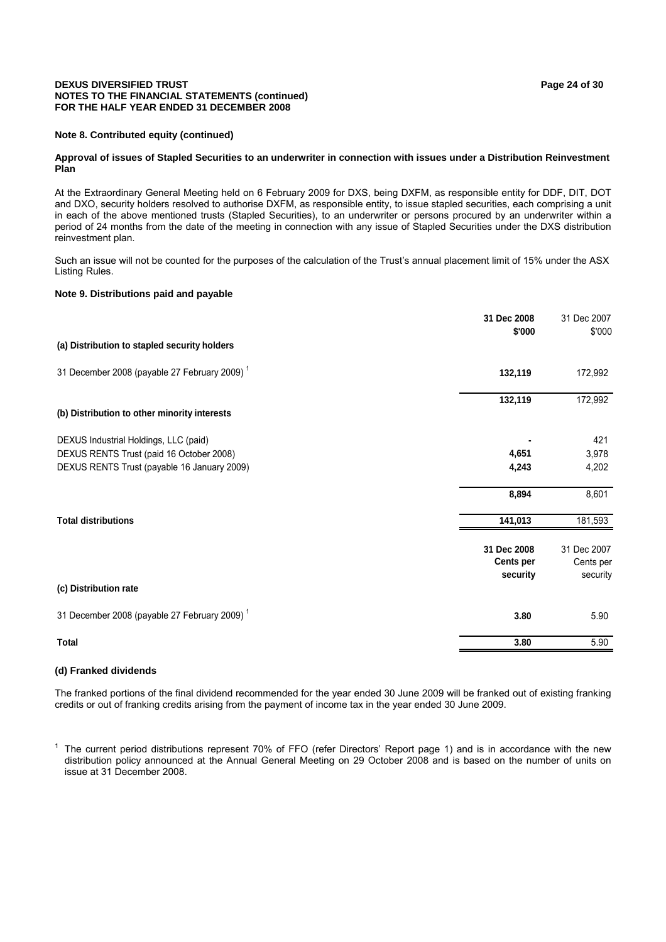#### **DEXUS DIVERSIFIED TRUST Page 24 of 30 NOTES TO THE FINANCIAL STATEMENTS (continued) FOR THE HALF YEAR ENDED 31 DECEMBER 2008**

#### **Note 8. Contributed equity (continued)**

#### **Approval of issues of Stapled Securities to an underwriter in connection with issues under a Distribution Reinvestment Plan**

At the Extraordinary General Meeting held on 6 February 2009 for DXS, being DXFM, as responsible entity for DDF, DIT, DOT and DXO, security holders resolved to authorise DXFM, as responsible entity, to issue stapled securities, each comprising a unit in each of the above mentioned trusts (Stapled Securities), to an underwriter or persons procured by an underwriter within a period of 24 months from the date of the meeting in connection with any issue of Stapled Securities under the DXS distribution reinvestment plan.

Such an issue will not be counted for the purposes of the calculation of the Trust's annual placement limit of 15% under the ASX Listing Rules.

#### **Note 9. Distributions paid and payable**

| 31 Dec 2008 | 31 Dec 2007<br>\$'000 |
|-------------|-----------------------|
|             |                       |
| 132,119     | 172,992               |
| 132,119     | 172,992               |
|             |                       |
|             | 421                   |
| 4,651       | 3,978                 |
| 4,243       | 4,202                 |
| 8,894       | 8,601                 |
| 141,013     | 181,593               |
| 31 Dec 2008 | 31 Dec 2007           |
| Cents per   | Cents per             |
| security    | security              |
|             |                       |
| 3.80        | 5.90                  |
| 3.80        | 5.90                  |
|             | \$'000                |

#### **(d) Franked dividends**

The franked portions of the final dividend recommended for the year ended 30 June 2009 will be franked out of existing franking credits or out of franking credits arising from the payment of income tax in the year ended 30 June 2009.

<sup>1</sup> The current period distributions represent 70% of FFO (refer Directors' Report page 1) and is in accordance with the new distribution policy announced at the Annual General Meeting on 29 October 2008 and is based on the number of units on issue at 31 December 2008.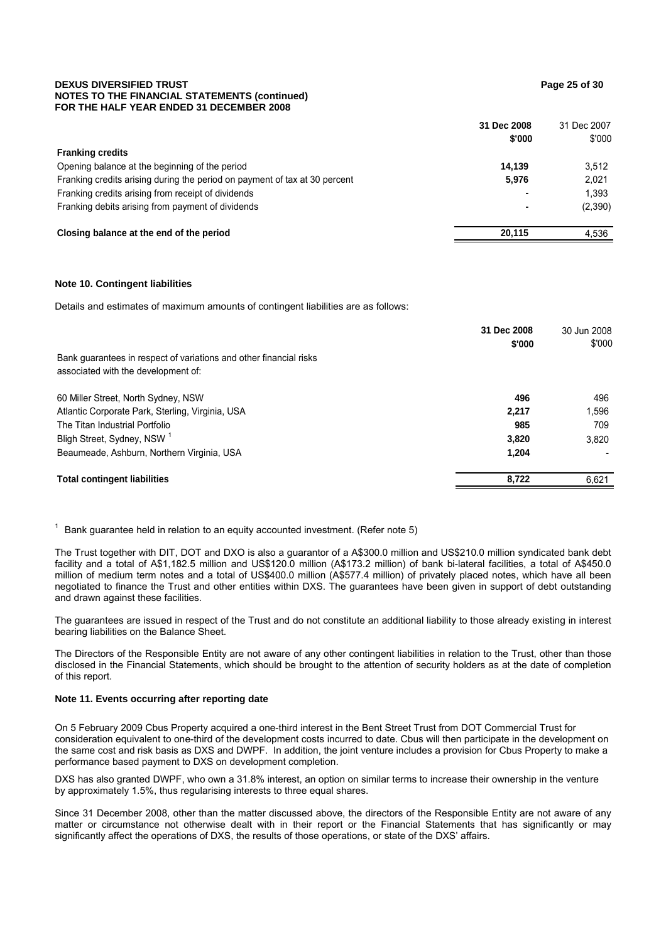#### **DEXUS DIVERSIFIED TRUST Page 25 of 30 NOTES TO THE FINANCIAL STATEMENTS (continued) FOR THE HALF YEAR ENDED 31 DECEMBER 2008**

|                                                                            | 31 Dec 2008              | 31 Dec 2007 |
|----------------------------------------------------------------------------|--------------------------|-------------|
|                                                                            | \$'000                   | \$'000      |
| <b>Franking credits</b>                                                    |                          |             |
| Opening balance at the beginning of the period                             | 14.139                   | 3.512       |
| Franking credits arising during the period on payment of tax at 30 percent | 5.976                    | 2.021       |
| Franking credits arising from receipt of dividends                         | $\overline{\phantom{0}}$ | 1.393       |
| Franking debits arising from payment of dividends                          |                          | (2,390)     |
| Closing balance at the end of the period                                   | 20.115                   | 4.536       |

#### **Note 10. Contingent liabilities**

Details and estimates of maximum amounts of contingent liabilities are as follows:

|                                                                    | 31 Dec 2008 | 30 Jun 2008 |
|--------------------------------------------------------------------|-------------|-------------|
|                                                                    | \$'000      | \$'000      |
| Bank guarantees in respect of variations and other financial risks |             |             |
| associated with the development of:                                |             |             |
| 60 Miller Street, North Sydney, NSW                                | 496         | 496         |
| Atlantic Corporate Park, Sterling, Virginia, USA                   | 2.217       | 1.596       |
| The Titan Industrial Portfolio                                     | 985         | 709         |
| Bligh Street, Sydney, NSW <sup>1</sup>                             | 3,820       | 3.820       |
| Beaumeade, Ashburn, Northern Virginia, USA                         | 1,204       |             |
| <b>Total contingent liabilities</b>                                | 8,722       | 6,621       |

 $1$  Bank guarantee held in relation to an equity accounted investment. (Refer note 5)

The Trust together with DIT, DOT and DXO is also a guarantor of a A\$300.0 million and US\$210.0 million syndicated bank debt facility and a total of A\$1,182.5 million and US\$120.0 million (A\$173.2 million) of bank bi-lateral facilities, a total of A\$450.0 million of medium term notes and a total of US\$400.0 million (A\$577.4 million) of privately placed notes, which have all been negotiated to finance the Trust and other entities within DXS. The guarantees have been given in support of debt outstanding and drawn against these facilities.

The guarantees are issued in respect of the Trust and do not constitute an additional liability to those already existing in interest bearing liabilities on the Balance Sheet.

The Directors of the Responsible Entity are not aware of any other contingent liabilities in relation to the Trust, other than those disclosed in the Financial Statements, which should be brought to the attention of security holders as at the date of completion of this report.

#### **Note 11. Events occurring after reporting date**

On 5 February 2009 Cbus Property acquired a one-third interest in the Bent Street Trust from DOT Commercial Trust for consideration equivalent to one-third of the development costs incurred to date. Cbus will then participate in the development on the same cost and risk basis as DXS and DWPF. In addition, the joint venture includes a provision for Cbus Property to make a performance based payment to DXS on development completion.

DXS has also granted DWPF, who own a 31.8% interest, an option on similar terms to increase their ownership in the venture by approximately 1.5%, thus regularising interests to three equal shares.

Since 31 December 2008, other than the matter discussed above, the directors of the Responsible Entity are not aware of any matter or circumstance not otherwise dealt with in their report or the Financial Statements that has significantly or may significantly affect the operations of DXS, the results of those operations, or state of the DXS' affairs.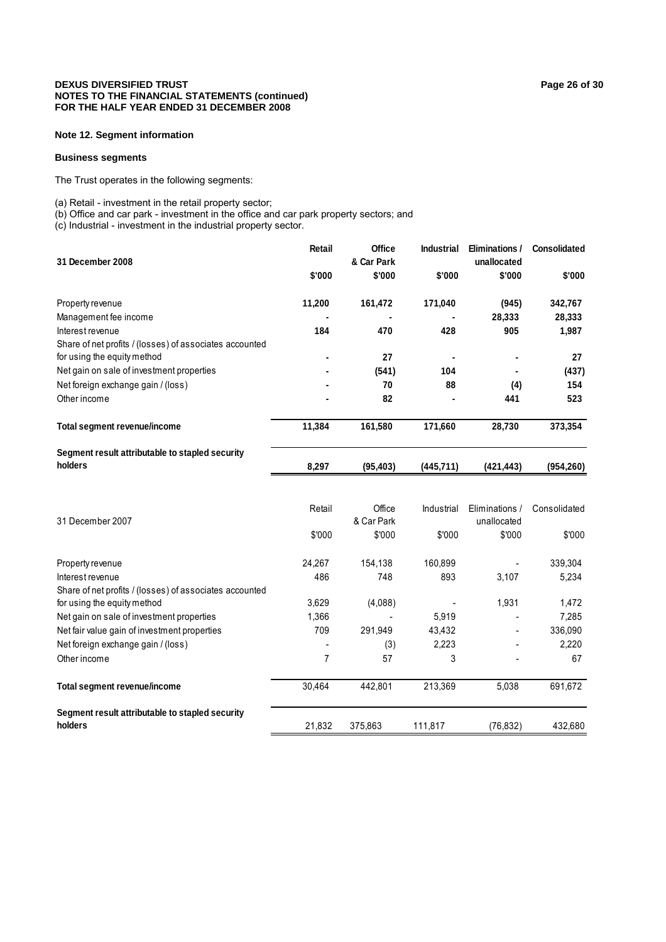#### **DEXUS DIVERSIFIED TRUST Page 26 of 30 Page 26 of 30 NOTES TO THE FINANCIAL STATEMENTS (continued) FOR THE HALF YEAR ENDED 31 DECEMBER 2008**

#### **Note 12. Segment information**

#### **Business segments**

The Trust operates in the following segments:

(a) Retail - investment in the retail property sector;

(b) Office and car park - investment in the office and car park property sectors; and

(c) Industrial - investment in the industrial property sector.

|                                                            | Retail         | Office               | Industrial | <b>Eliminations /</b>         | <b>Consolidated</b> |
|------------------------------------------------------------|----------------|----------------------|------------|-------------------------------|---------------------|
| 31 December 2008                                           |                | & Car Park           |            | unallocated                   |                     |
|                                                            | \$'000         | \$'000               | \$'000     | \$'000                        | \$'000              |
| Property revenue                                           | 11,200         | 161,472              | 171,040    | (945)                         | 342,767             |
| Management fee income                                      |                |                      |            | 28,333                        | 28,333              |
| Interest revenue                                           | 184            | 470                  | 428        | 905                           | 1,987               |
| Share of net profits / (losses) of associates accounted    |                |                      |            |                               |                     |
| for using the equity method                                |                | 27                   |            |                               | 27                  |
| Net gain on sale of investment properties                  |                | (541)                | 104        |                               | (437)               |
| Net foreign exchange gain / (loss)                         |                | 70                   | 88         | (4)                           | 154                 |
| Other income                                               |                | 82                   |            | 441                           | 523                 |
| <b>Total segment revenue/income</b>                        | 11,384         | 161,580              | 171,660    | 28,730                        | 373,354             |
| Segment result attributable to stapled security            |                |                      |            |                               |                     |
| holders                                                    | 8,297          | (95, 403)            | (445, 711) | (421, 443)                    | (954, 260)          |
| 31 December 2007                                           | Retail         | Office<br>& Car Park | Industrial | Eliminations /<br>unallocated | Consolidated        |
|                                                            | \$'000         | \$'000               | \$'000     | \$'000                        | \$'000              |
| Property revenue                                           | 24,267         | 154,138              | 160,899    |                               | 339,304             |
| Interest revenue                                           | 486            | 748                  | 893        | 3,107                         | 5,234               |
| Share of net profits / (losses) of associates accounted    |                |                      |            |                               |                     |
| for using the equity method                                | 3,629          | (4,088)              |            | 1,931                         | 1,472               |
| Net gain on sale of investment properties                  | 1,366          |                      | 5,919      |                               | 7,285               |
| Net fair value gain of investment properties               | 709            | 291,949              | 43,432     |                               | 336,090             |
| Net foreign exchange gain / (loss)                         |                | (3)                  | 2,223      |                               | 2,220               |
| Other income                                               | $\overline{7}$ | 57                   | 3          |                               | 67                  |
| <b>Total segment revenue/income</b>                        | 30,464         | 442,801              | 213,369    | 5,038                         | 691,672             |
| Segment result attributable to stapled security<br>holders | 21,832         | 375,863              | 111,817    | (76, 832)                     | 432,680             |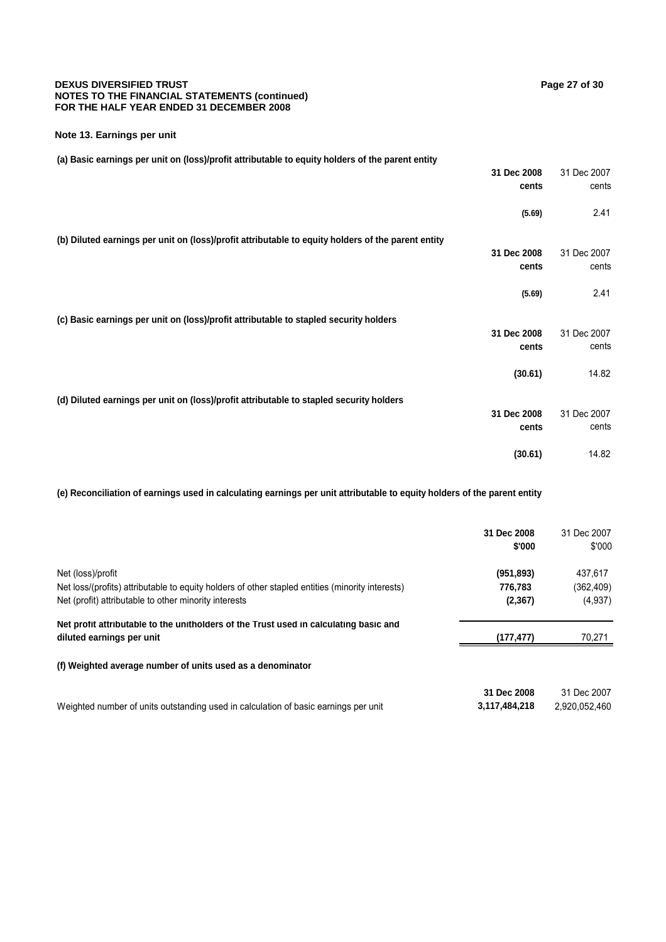#### **DEXUS DIVERSIFIED TRUST Page 27 of 30 Page 27 of 30 NOTES TO THE FINANCIAL STATEMENTS (continued) FOR THE HALF YEAR ENDED 31 DECEMBER 2008**

#### **Note 13. Earnings per unit**

**(a) Basic earnings per unit on (loss)/profit attributable to equity holders of the parent entity**

|                                                                                                    | 31 Dec 2008 | 31 Dec 2007 |
|----------------------------------------------------------------------------------------------------|-------------|-------------|
|                                                                                                    | cents       | cents       |
|                                                                                                    |             |             |
|                                                                                                    | (5.69)      | 2.41        |
| (b) Diluted earnings per unit on (loss)/profit attributable to equity holders of the parent entity |             |             |
|                                                                                                    | 31 Dec 2008 | 31 Dec 2007 |
|                                                                                                    |             |             |
|                                                                                                    | cents       | cents       |
|                                                                                                    | (5.69)      | 2.41        |
|                                                                                                    |             |             |
| (c) Basic earnings per unit on (loss)/profit attributable to stapled security holders              |             |             |
|                                                                                                    | 31 Dec 2008 | 31 Dec 2007 |
|                                                                                                    | cents       | cents       |
|                                                                                                    |             |             |
|                                                                                                    | (30.61)     | 14.82       |
|                                                                                                    |             |             |
| (d) Diluted earnings per unit on (loss)/profit attributable to stapled security holders            |             |             |
|                                                                                                    | 31 Dec 2008 | 31 Dec 2007 |
|                                                                                                    | cents       | cents       |
|                                                                                                    |             |             |
|                                                                                                    | (30.61)     | 14.82       |
|                                                                                                    |             |             |

**(e) Reconciliation of earnings used in calculating earnings per unit attributable to equity holders of the parent entity**

|                                                                                                                    | 31 Dec 2008<br>\$'000 | 31 Dec 2007<br>\$'000 |
|--------------------------------------------------------------------------------------------------------------------|-----------------------|-----------------------|
| Net (loss)/profit                                                                                                  | (951, 893)            | 437,617               |
| Net loss/(profits) attributable to equity holders of other stapled entities (minority interests)                   | 776,783               | (362, 409)            |
| Net (profit) attributable to other minority interests                                                              | (2, 367)              | (4,937)               |
| Net profit attributable to the unitholders of the Trust used in calculating basic and<br>diluted earnings per unit | (177, 477)            | 70.271                |
| (f) Weighted average number of units used as a denominator                                                         |                       |                       |
|                                                                                                                    | 31 Dec 2008           | 31 Dec 2007           |
| Weighted number of units outstanding used in calculation of basic earnings per unit                                | 3,117,484,218         | 2,920,052,460         |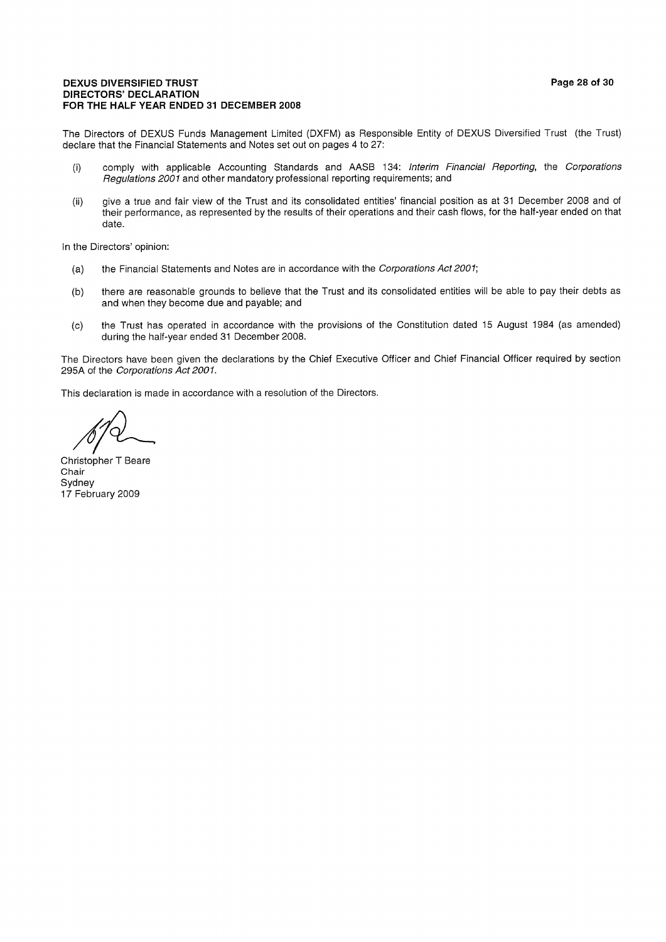#### **DEXUS DIVERSIFIED TRUST DIRECTORS' DECLARATION** FOR THE HALF YEAR ENDED 31 DECEMBER 2008

The Directors of DEXUS Funds Management Limited (DXFM) as Responsible Entity of DEXUS Diversified Trust (the Trust) declare that the Financial Statements and Notes set out on pages 4 to 27:

- comply with applicable Accounting Standards and AASB 134: Interim Financial Reporting, the Corporations  $(i)$ Regulations 2001 and other mandatory professional reporting requirements; and
- give a true and fair view of the Trust and its consolidated entities' financial position as at 31 December 2008 and of  $(ii)$ their performance, as represented by the results of their operations and their cash flows, for the half-year ended on that date.

In the Directors' opinion:

- the Financial Statements and Notes are in accordance with the Corporations Act 2001;  $(a)$
- there are reasonable grounds to believe that the Trust and its consolidated entities will be able to pay their debts as  $(b)$ and when they become due and payable; and
- the Trust has operated in accordance with the provisions of the Constitution dated 15 August 1984 (as amended)  $(c)$ during the half-year ended 31 December 2008.

The Directors have been given the declarations by the Chief Executive Officer and Chief Financial Officer required by section 295A of the Corporations Act 2001.

This declaration is made in accordance with a resolution of the Directors.

Christopher T Beare Chair Sydney 17 February 2009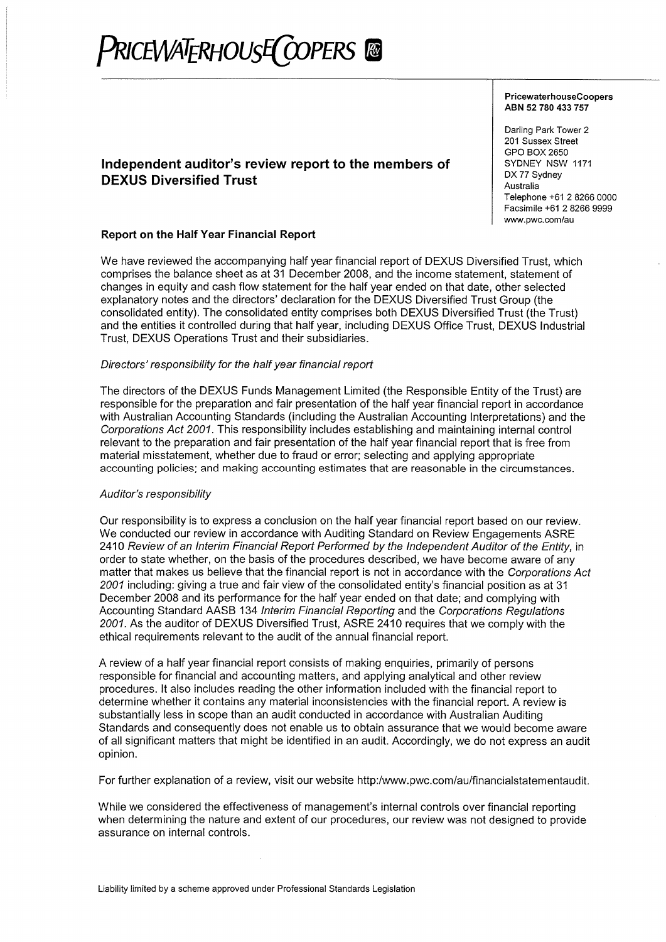# PRICEWATERHOUSE COPERS @

# Independent auditor's review report to the members of **DEXUS Diversified Trust**

# Report on the Half Year Financial Report

We have reviewed the accompanying half year financial report of DEXUS Diversified Trust, which comprises the balance sheet as at 31 December 2008, and the income statement, statement of changes in equity and cash flow statement for the half year ended on that date, other selected explanatory notes and the directors' declaration for the DEXUS Diversified Trust Group (the consolidated entity). The consolidated entity comprises both DEXUS Diversified Trust (the Trust) and the entities it controlled during that half year, including DEXUS Office Trust, DEXUS Industrial Trust, DEXUS Operations Trust and their subsidiaries.

#### Directors' responsibility for the half year financial report

The directors of the DEXUS Funds Management Limited (the Responsible Entity of the Trust) are responsible for the preparation and fair presentation of the half year financial report in accordance with Australian Accounting Standards (including the Australian Accounting Interpretations) and the Corporations Act 2001. This responsibility includes establishing and maintaining internal control relevant to the preparation and fair presentation of the half year financial report that is free from material misstatement, whether due to fraud or error; selecting and applying appropriate accounting policies; and making accounting estimates that are reasonable in the circumstances.

#### Auditor's responsibility

Our responsibility is to express a conclusion on the half year financial report based on our review. We conducted our review in accordance with Auditing Standard on Review Engagements ASRE 2410 Review of an Interim Financial Report Performed by the Independent Auditor of the Entity, in order to state whether, on the basis of the procedures described, we have become aware of any matter that makes us believe that the financial report is not in accordance with the Corporations Act 2001 including: giving a true and fair view of the consolidated entity's financial position as at 31 December 2008 and its performance for the half year ended on that date; and complying with Accounting Standard AASB 134 Interim Financial Reporting and the Corporations Regulations 2001. As the auditor of DEXUS Diversified Trust, ASRE 2410 requires that we comply with the ethical requirements relevant to the audit of the annual financial report.

A review of a half year financial report consists of making enquiries, primarily of persons responsible for financial and accounting matters, and applying analytical and other review procedures. It also includes reading the other information included with the financial report to determine whether it contains any material inconsistencies with the financial report. A review is substantially less in scope than an audit conducted in accordance with Australian Auditing Standards and consequently does not enable us to obtain assurance that we would become aware of all significant matters that might be identified in an audit. Accordingly, we do not express an audit opinion.

For further explanation of a review, visit our website http:/www.pwc.com/au/financialstatementaudit.

While we considered the effectiveness of management's internal controls over financial reporting when determining the nature and extent of our procedures, our review was not designed to provide assurance on internal controls.

PricewaterhouseCoopers ABN 52 780 433 757

Darling Park Tower 2 201 Sussex Street GPO BOX 2650 SYDNEY NSW 1171 DX 77 Sydney Australia Telephone +61 2 8266 0000 Facsimile +61 2 8266 9999 www.pwc.com/au